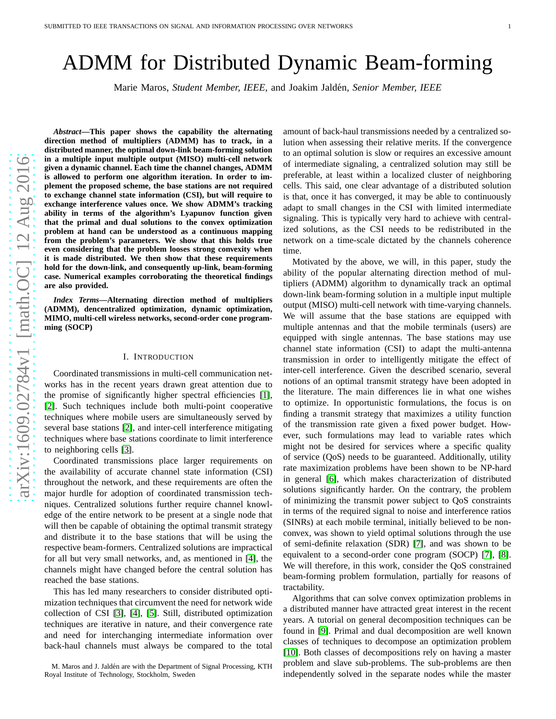# ADMM for Distributed Dynamic Beam-forming

Marie Maros, *Student Member, IEEE,* and Joakim Jald´en, *Senior Member, IEEE*

*Abstract***—This paper shows the capability the alternating direction method of multipliers (ADMM) has to track, in a distributed manner, the optimal down-link beam-forming solution in a multiple input multiple output (MISO) multi-cell network given a dynamic channel. Each time the channel changes, ADMM is allowed to perform one algorithm iteration. In order to implement the proposed scheme, the base stations are not required to exchange channel state information (CSI), but will require to exchange interference values once. We show ADMM's tracking ability in terms of the algorithm's Lyapunov function given that the primal and dual solutions to the convex optimization problem at hand can be understood as a continuous mapping from the problem's parameters. We show that this holds true even considering that the problem looses strong convexity when it is made distributed. We then show that these requirements hold for the down-link, and consequently up-link, beam-forming case. Numerical examples corroborating the theoretical findings are also provided.**

*Index Terms***—Alternating direction method of multipliers (ADMM), dencentralized optimization, dynamic optimization, MIMO, multi-cell wireless networks, second-order cone programming (SOCP)**

### I. INTRODUCTION

Coordinated transmissions in multi-cell communication networks has in the recent years drawn great attention due to the promise of significantly higher spectral efficiencies [\[1\]](#page-12-0), [\[2\]](#page-12-1). Such techniques include both multi-point cooperative techniques where mobile users are simultaneously served by several base stations [\[2\]](#page-12-1), and inter-cell interference mitigating techniques where base stations coordinate to limit interference to neighboring cells [\[3\]](#page-12-2).

Coordinated transmissions place larger requirements on the availability of accurate channel state information (CSI) throughout the network, and these requirements are often the major hurdle for adoption of coordinated transmission techniques. Centralized solutions further require channel knowledge of the entire network to be present at a single node that will then be capable of obtaining the optimal transmit strategy and distribute it to the base stations that will be using the respective beam-formers. Centralized solutions are impractical for all but very small networks, and, as mentioned in [\[4\]](#page-12-3), the channels might have changed before the central solution has reached the base stations.

This has led many researchers to consider distributed optimization techniques that circumvent the need for network wide collection of CSI [\[3\]](#page-12-2), [\[4\]](#page-12-3), [\[5\]](#page-12-4). Still, distributed optimization techniques are iterative in nature, and their convergence rate and need for interchanging intermediate information over back-haul channels must always be compared to the total

M. Maros and J. Jaldén are with the Department of Signal Processing, KTH Royal Institute of Technology, Stockholm, Sweden

amount of back-haul transmissions needed by a centralized solution when assessing their relative merits. If the convergence to an optimal solution is slow or requires an excessive amount of intermediate signaling, a centralized solution may still be preferable, at least within a localized cluster of neighboring cells. This said, one clear advantage of a distributed solution is that, once it has converged, it may be able to continuously adapt to small changes in the CSI with limited intermediate signaling. This is typically very hard to achieve with centralized solutions, as the CSI needs to be redistributed in the network on a time-scale dictated by the channels coherence time.

Motivated by the above, we will, in this paper, study the ability of the popular alternating direction method of multipliers (ADMM) algorithm to dynamically track an optimal down-link beam-forming solution in a multiple input multiple output (MISO) multi-cell network with time-varying channels. We will assume that the base stations are equipped with multiple antennas and that the mobile terminals (users) are equipped with single antennas. The base stations may use channel state information (CSI) to adapt the multi-antenna transmission in order to intelligently mitigate the effect of inter-cell interference. Given the described scenario, several notions of an optimal transmit strategy have been adopted in the literature. The main differences lie in what one wishes to optimize. In opportunistic formulations, the focus is on finding a transmit strategy that maximizes a utility function of the transmission rate given a fixed power budget. However, such formulations may lead to variable rates which might not be desired for services where a specific quality of service (QoS) needs to be guaranteed. Additionally, utility rate maximization problems have been shown to be NP-hard in general [\[6\]](#page-12-5), which makes characterization of distributed solutions significantly harder. On the contrary, the problem of minimizing the transmit power subject to QoS constraints in terms of the required signal to noise and interference ratios (SINRs) at each mobile terminal, initially believed to be nonconvex, was shown to yield optimal solutions through the use of semi-definite relaxation (SDR) [\[7\]](#page-12-6), and was shown to be equivalent to a second-order cone program (SOCP) [\[7\]](#page-12-6), [\[8\]](#page-12-7). We will therefore, in this work, consider the QoS constrained beam-forming problem formulation, partially for reasons of tractability.

Algorithms that can solve convex optimization problems in a distributed manner have attracted great interest in the recent years. A tutorial on general decomposition techniques can be found in [\[9\]](#page-12-8). Primal and dual decomposition are well known classes of techniques to decompose an optimization problem [\[10\]](#page-12-9). Both classes of decompositions rely on having a master problem and slave sub-problems. The sub-problems are then independently solved in the separate nodes while the master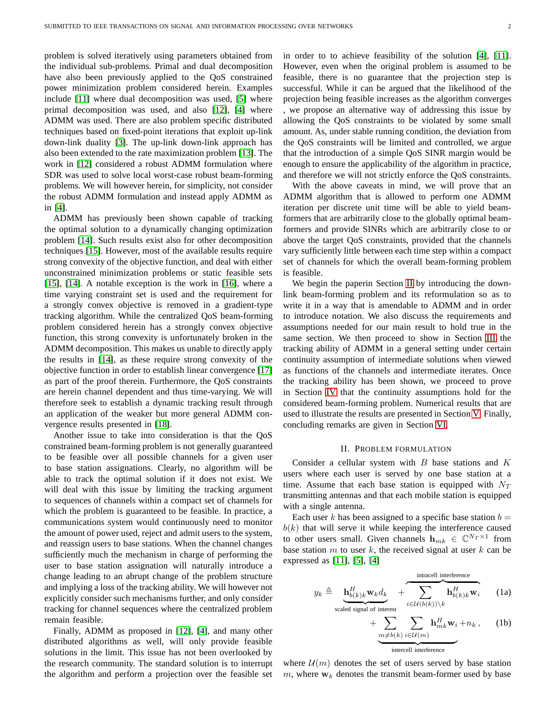problem is solved iteratively using parameters obtained from the individual sub-problems. Primal and dual decomposition have also been previously applied to the QoS constrained power minimization problem considered herein. Examples include [\[11\]](#page-12-10) where dual decomposition was used, [\[5\]](#page-12-4) where primal decomposition was used, and also [\[12\]](#page-12-11), [\[4\]](#page-12-3) where ADMM was used. There are also problem specific distributed techniques based on fixed-point iterations that exploit up-link down-link duality [\[3\]](#page-12-2). The up-link down-link approach has also been extended to the rate maximization problem [\[13\]](#page-12-12). The work in [\[12\]](#page-12-11) considered a robust ADMM formulation where SDR was used to solve local worst-case robust beam-forming problems. We will however herein, for simplicity, not consider the robust ADMM formulation and instead apply ADMM as in [\[4\]](#page-12-3).

ADMM has previously been shown capable of tracking the optimal solution to a dynamically changing optimization problem [\[14\]](#page-12-13). Such results exist also for other decomposition techniques [\[15\]](#page-12-14). However, most of the available results require strong convexity of the objective function, and deal with either unconstrained minimization problems or static feasible sets [\[15\]](#page-12-14), [\[14\]](#page-12-13). A notable exception is the work in [\[16\]](#page-12-15), where a time varying constraint set is used and the requirement for a strongly convex objective is removed in a gradient-type tracking algorithm. While the centralized QoS beam-forming problem considered herein has a strongly convex objective function, this strong convexity is unfortunately broken in the ADMM decomposition. This makes us unable to directly apply the results in [\[14\]](#page-12-13), as these require strong convexity of the objective function in order to establish linear convergence [\[17\]](#page-12-16) as part of the proof therein. Furthermore, the QoS constraints are herein channel dependent and thus time-varying. We will therefore seek to establish a dynamic tracking result through an application of the weaker but more general ADMM convergence results presented in [\[18\]](#page-12-17).

Another issue to take into consideration is that the QoS constrained beam-forming problem is not generally guaranteed to be feasible over all possible channels for a given user to base station assignations. Clearly, no algorithm will be able to track the optimal solution if it does not exist. We will deal with this issue by limiting the tracking argument to sequences of channels within a compact set of channels for which the problem is guaranteed to be feasible. In practice, a communications system would continuously need to monitor the amount of power used, reject and admit users to the system, and reassign users to base stations. When the channel changes sufficiently much the mechanism in charge of performing the user to base station assignation will naturally introduce a change leading to an abrupt change of the problem structure and implying a loss of the tracking ability. We will however not explicitly consider such mechanisms further, and only consider tracking for channel sequences where the centralized problem remain feasible.

Finally, ADMM as proposed in [\[12\]](#page-12-11), [\[4\]](#page-12-3), and many other distributed algorithms as well, will only provide feasible solutions in the limit. This issue has not been overlooked by the research community. The standard solution is to interrupt the algorithm and perform a projection over the feasible set

in order to to achieve feasibility of the solution [\[4\]](#page-12-3), [\[11\]](#page-12-10). However, even when the original problem is assumed to be feasible, there is no guarantee that the projection step is successful. While it can be argued that the likelihood of the projection being feasible increases as the algorithm converges , we propose an alternative way of addressing this issue by allowing the QoS constraints to be violated by some small amount. As, under stable running condition, the deviation from the QoS constraints will be limited and controlled, we argue that the introduction of a simple QoS SINR margin would be enough to ensure the applicability of the algorithm in practice, and therefore we will not strictly enforce the QoS constraints.

With the above caveats in mind, we will prove that an ADMM algorithm that is allowed to perform one ADMM iteration per discrete unit time will be able to yield beamformers that are arbitrarily close to the globally optimal beamformers and provide SINRs which are arbitrarily close to or above the target QoS constraints, provided that the channels vary sufficiently little between each time step within a compact set of channels for which the overall beam-forming problem is feasible.

We begin the paperin Section [II](#page-1-0) by introducing the downlink beam-forming problem and its reformulation so as to write it in a way that is amendable to ADMM and in order to introduce notation. We also discuss the requirements and assumptions needed for our main result to hold true in the same section. We then proceed to show in Section [III](#page-4-0) the tracking ability of ADMM in a general setting under certain continuity assumption of intermediate solutions when viewed as functions of the channels and intermediate iterates. Once the tracking ability has been shown, we proceed to prove in Section [IV](#page-6-0) that the continuity assumptions hold for the considered beam-forming problem. Numerical results that are used to illustrate the results are presented in Section [V.](#page-9-0) Finally, concluding remarks are given in Section [VI.](#page-9-1)

## II. PROBLEM FORMULATION

<span id="page-1-0"></span>Consider a cellular system with  $B$  base stations and  $K$ users where each user is served by one base station at a time. Assume that each base station is equipped with  $N_T$ transmitting antennas and that each mobile station is equipped with a single antenna.

Each user k has been assigned to a specific base station  $b =$  $b(k)$  that will serve it while keeping the interference caused to other users small. Given channels  $\mathbf{h}_{mk} \in \mathbb{C}^{N_T \times 1}$  from base station  $m$  to user  $k$ , the received signal at user  $k$  can be expressed as [\[11\]](#page-12-10), [\[5\]](#page-12-4), [\[4\]](#page-12-3)

$$
y_k \triangleq \underbrace{\mathbf{h}_{b(k)k}^H \mathbf{w}_k d_k}_{\text{scaled signal of interest}} + \underbrace{\sum_{i \in \mathcal{U}(b(k)) \setminus k} \mathbf{h}_{b(k)k}^H \mathbf{w}_i}_{+ \underbrace{\sum_{m \neq b(k)} \sum_{i \in \mathcal{U}(m)} \mathbf{h}_{mk}^H \mathbf{w}_i + n_k}_{\text{intercell interference}}, \qquad (1a)
$$

where  $\mathcal{U}(m)$  denotes the set of users served by base station m, where  $w_k$  denotes the transmit beam-former used by base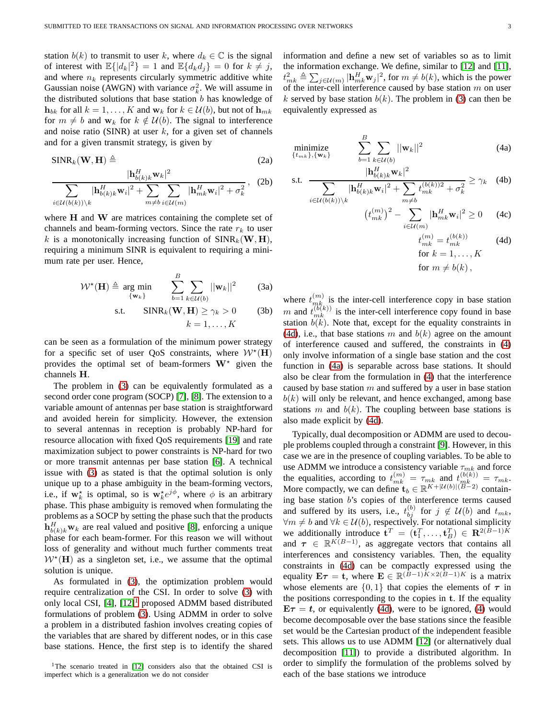station  $b(k)$  to transmit to user k, where  $d_k \in \mathbb{C}$  is the signal of interest with  $\mathbb{E}\{|d_k|^2\} = 1$  and  $\mathbb{E}\{d_k d_j\} = 0$  for  $k \neq j$ , and where  $n_k$  represents circularly symmetric additive white Gaussian noise (AWGN) with variance  $\sigma_k^2$ . We will assume in the distributed solutions that base station  $b$  has knowledge of  $\mathbf{h}_{bk}$  for all  $k = 1, \ldots, K$  and  $\mathbf{w}_k$  for  $k \in \mathcal{U}(b)$ , but not of  $\mathbf{h}_{mk}$ for  $m \neq b$  and  $\mathbf{w}_k$  for  $k \notin \mathcal{U}(b)$ . The signal to interference and noise ratio (SINR) at user  $k$ , for a given set of channels and for a given transmit strategy, is given by

$$
\text{SINR}_k(\mathbf{W}, \mathbf{H}) \triangleq \tag{2a}
$$

$$
\frac{|\mathbf{h}_{b(k)k}^H \mathbf{w}_k|^2}{\sum_{i \in \mathcal{U}(b(k)) \setminus k} |\mathbf{h}_{b(k)k}^H \mathbf{w}_i|^2 + \sum_{m \neq b} \sum_{i \in \mathcal{U}(m)} |\mathbf{h}_{mk}^H \mathbf{w}_i|^2 + \sigma_k^2}, \quad (2b)
$$

where  $H$  and  $W$  are matrices containing the complete set of channels and beam-forming vectors. Since the rate  $r_k$  to user k is a monotonically increasing function of  $SINR_k(W, H)$ , requiring a minimum SINR is equivalent to requiring a minimum rate per user. Hence,

$$
\mathcal{W}^{\star}(\mathbf{H}) \triangleq \underset{\{\mathbf{w}_k\}}{\arg \min} \qquad \sum_{b=1}^{B} \sum_{k \in \mathcal{U}(b)} ||\mathbf{w}_k||^2 \qquad (3a)
$$

<span id="page-2-0"></span>s.t. 
$$
\text{SINR}_k(\mathbf{W}, \mathbf{H}) \ge \gamma_k > 0
$$
 (3b)  
 $k = 1, ..., K$ 

can be seen as a formulation of the minimum power strategy for a specific set of user QoS constraints, where  $W^*(\mathbf{H})$ provides the optimal set of beam-formers  $W^*$  given the channels H.

The problem in [\(3\)](#page-2-0) can be equivalently formulated as a second order cone program (SOCP) [\[7\]](#page-12-6), [\[8\]](#page-12-7). The extension to a variable amount of antennas per base station is straightforward and avoided herein for simplicity. However, the extension to several antennas in reception is probably NP-hard for resource allocation with fixed QoS requirements [\[19\]](#page-12-18) and rate maximization subject to power constraints is NP-hard for two or more transmit antennas per base station [\[6\]](#page-12-5). A technical issue with [\(3\)](#page-2-0) as stated is that the optimal solution is only unique up to a phase ambiguity in the beam-forming vectors, i.e., if  $w_k^*$  is optimal, so is  $w_k^* e^{j\phi}$ , where  $\phi$  is an arbitrary phase. This phase ambiguity is removed when formulating the problems as a SOCP by setting the phase such that the products  $\mathbf{h}_{b(k)k}^H$ **w**<sub>k</sub> are real valued and positive [\[8\]](#page-12-7), enforcing a unique phase for each beam-former. For this reason we will without loss of generality and without much further comments treat  $W^*(\mathbf{H})$  as a singleton set, i.e., we assume that the optimal solution is unique.

As formulated in [\(3\)](#page-2-0), the optimization problem would require centralization of the CSI. In order to solve [\(3\)](#page-2-0) with only local CSI,  $[4]$ ,  $[12]$  $[12]$  $[12]$ <sup>1</sup> proposed ADMM based distributed formulations of problem [\(3\)](#page-2-0). Using ADMM in order to solve a problem in a distributed fashion involves creating copies of the variables that are shared by different nodes, or in this case base stations. Hence, the first step is to identify the shared information and define a new set of variables so as to limit the information exchange. We define, similar to [\[12\]](#page-12-11) and [\[11\]](#page-12-10),  $t_{mk}^2 \triangleq \sum_{j \in \mathcal{U}(m)} |\mathbf{h}_{mk}^H \mathbf{w}_j|^2$ , for  $m \neq b(k)$ , which is the power of the inter-cell interference caused by base station  $m$  on user k served by base station  $b(k)$ . The problem in [\(3\)](#page-2-0) can then be equivalently expressed as

<span id="page-2-8"></span><span id="page-2-3"></span>
$$
\underset{\{t_{mk}\},\{\mathbf{w}_k\}}{\text{minimize}} \qquad \sum_{b=1}^{B} \sum_{k \in \mathcal{U}(b)} ||\mathbf{w}_k||^2 \tag{4a}
$$

s.t. 
$$
\frac{|\mathbf{h}_{b(k)k}^H \mathbf{w}_k|^2}{\sum_{i \in \mathcal{U}(b(k)) \setminus k} |\mathbf{h}_{b(k)k}^H \mathbf{w}_i|^2 + \sum_{m \neq b} t_{mk}^{(b(k))2} + \sigma_k^2} \geq \gamma_k \quad (4b)
$$

$$
\left(t_{mk}^{(m)}\right)^2 - \sum_{i \in \mathcal{U}(m)} |\mathbf{h}_{mk}^H \mathbf{w}_i|^2 \ge 0 \qquad (4c)
$$

<span id="page-2-5"></span><span id="page-2-4"></span><span id="page-2-2"></span>
$$
t_{mk}^{(m)} = t_{mk}^{(b(k))}
$$
 (4d)  
for  $k = 1, ..., K$   
for  $m \neq b(k)$ ,

<span id="page-2-7"></span><span id="page-2-6"></span>where  $t_{m}^{(m)}$  is the inter-cell interference copy in base station m and  $t_{mk}^{(b(k))}$  is the inter-cell interference copy found in base station  $b(k)$ . Note that, except for the equality constraints in [\(4d\)](#page-2-2), i.e., that base stations m and  $b(k)$  agree on the amount of interference caused and suffered, the constraints in [\(4\)](#page-2-3) only involve information of a single base station and the cost function in [\(4a\)](#page-2-4) is separable across base stations. It should also be clear from the formulation in [\(4\)](#page-2-3) that the interference caused by base station  $m$  and suffered by a user in base station  $b(k)$  will only be relevant, and hence exchanged, among base stations m and  $b(k)$ . The coupling between base stations is also made explicit by [\(4d\)](#page-2-2).

Typically, dual decomposition or ADMM are used to decouple problems coupled through a constraint [\[9\]](#page-12-8). However, in this case we are in the presence of coupling variables. To be able to use ADMM we introduce a consistency variable  $\tau_{mk}$  and force the equalities, according to  $t_{mk}^{(m)} = \tau_{mk}$  and  $t_{mk}^{(b(k))} = \tau_{mk}$ . More compactly, we can define  $\mathbf{t}_b \in \mathbb{R}^{K+|\mathcal{U}(b)|(\widetilde{B}-2)}$  containing base station b's copies of the interference terms caused and suffered by its users, i.e.,  $t_{bj}^{(b)}$  for  $j \notin \mathcal{U}(b)$  and  $t_{mk}$ ,  $∀m ≠ b$  and  $∀k ∈ U(b)$ , respectively. For notational simplicity we additionally introduce  $\mathbf{t}^T = (\mathbf{t}_1^T, \dots, \mathbf{t}_B^T) \in \mathbb{R}^{2(B-1)K}$ and  $\tau \in \mathbb{R}^{K(B-1)}$ , as aggregate vectors that contains all interferences and consistency variables. Then, the equality constraints in [\(4d\)](#page-2-2) can be compactly expressed using the equality  $E\tau = t$ , where  $E \in \mathbb{R}^{(B-1)K \times 2(B-1)K}$  is a matrix whose elements are  $\{0, 1\}$  that copies the elements of  $\tau$  in the positions corresponding to the copies in t. If the equality  $E\tau = t$ , or equivalently [\(4d\)](#page-2-2), were to be ignored, [\(4\)](#page-2-3) would become decomposable over the base stations since the feasible set would be the Cartesian product of the independent feasible sets. This allows us to use ADMM [\[12\]](#page-12-11) (or alternatively dual decomposition [\[11\]](#page-12-10)) to provide a distributed algorithm. In order to simplify the formulation of the problems solved by each of the base stations we introduce

<span id="page-2-1"></span><sup>&</sup>lt;sup>1</sup>The scenario treated in [\[12\]](#page-12-11) considers also that the obtained CSI is imperfect which is a generalization we do not consider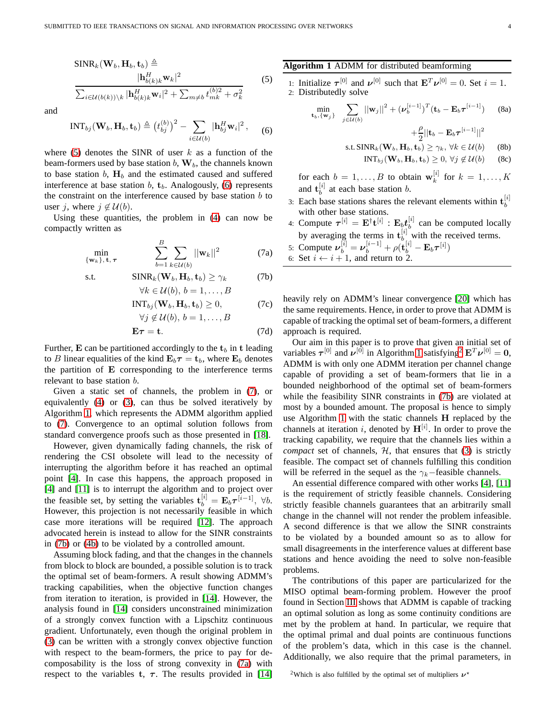<span id="page-3-0"></span>
$$
\frac{\text{SINR}_k(\mathbf{W}_b, \mathbf{H}_b, \mathbf{t}_b) \triangleq}{\sum_{i \in \mathcal{U}(b(k)) \setminus k} |\mathbf{h}_{b(k)k}^H \mathbf{w}_k|^2} \qquad (5)
$$
\n
$$
\frac{|\mathbf{h}_{b(k)k}^H \mathbf{w}_k|^2}{\sum_{i \in \mathcal{U}(b(k)) \setminus k} |\mathbf{h}_{b(k)k}^H \mathbf{w}_i|^2 + \sum_{m \neq b} t_{mk}^{(b)2} + \sigma_k^2}
$$

and

<span id="page-3-1"></span>
$$
INT_{bj}(\mathbf{W}_b, \mathbf{H}_b, \mathbf{t}_b) \triangleq (t_{bj}^{(b)})^2 - \sum_{i \in \mathcal{U}(b)} |\mathbf{h}_{bj}^H \mathbf{w}_i|^2, \quad (6)
$$

where [\(5\)](#page-3-0) denotes the SINR of user  $k$  as a function of the beam-formers used by base station  $b$ ,  $\mathbf{W}_b$ , the channels known to base station  $b$ ,  $H_b$  and the estimated caused and suffered interference at base station  $b$ ,  $t_b$ . Analogously, [\(6\)](#page-3-1) represents the constraint on the interference caused by base station  $b$  to user j, where  $j \notin U(b)$ .

Using these quantities, the problem in [\(4\)](#page-2-3) can now be compactly written as

<span id="page-3-2"></span>
$$
\min_{\{\mathbf{w}_k\},\,\mathbf{t},\,\boldsymbol{\tau}} \qquad \qquad \sum_{b=1}^B \sum_{k\in\mathcal{U}(b)} ||\mathbf{w}_k||^2 \qquad \qquad (7a)
$$

s.t. 
$$
\text{SINR}_k(\mathbf{W}_b, \mathbf{H}_b, \mathbf{t}_b) \ge \gamma_k \tag{7b}
$$

$$
\forall k \in \mathcal{U}(0), \, 0 = 1, \dots, D
$$
  

$$
INT_{bj}(\mathbf{W}_b, \mathbf{H}_b, \mathbf{t}_b) \ge 0,
$$
 (7c)

$$
\forall j \notin \mathcal{U}(b), b = 1, \dots, B
$$

$$
\mathbf{E}\boldsymbol{\tau} = \mathbf{t}.\tag{7d}
$$

Further, E can be partitioned accordingly to the  $t_b$  in t leading to B linear equalities of the kind  $\mathbf{E}_b \boldsymbol{\tau} = \mathbf{t}_b$ , where  $\mathbf{E}_b$  denotes the partition of E corresponding to the interference terms relevant to base station b.

Given a static set of channels, the problem in [\(7\)](#page-3-2), or equivalently [\(4\)](#page-2-3) or [\(3\)](#page-2-0), can thus be solved iteratively by Algorithm [1,](#page-3-3) which represents the ADMM algorithm applied to [\(7\)](#page-3-2). Convergence to an optimal solution follows from standard convergence proofs such as those presented in [\[18\]](#page-12-17).

However, given dynamically fading channels, the risk of rendering the CSI obsolete will lead to the necessity of interrupting the algorithm before it has reached an optimal point [\[4\]](#page-12-3). In case this happens, the approach proposed in [\[4\]](#page-12-3) and [\[11\]](#page-12-10) is to interrupt the algorithm and to project over the feasible set, by setting the variables  $\mathbf{t}_{b}^{[i]} = \mathbf{E}_{b} \boldsymbol{\tau}^{[i-1]}, \ \forall b$ . However, this projection is not necessarily feasible in which case more iterations will be required [\[12\]](#page-12-11). The approach advocated herein is instead to allow for the SINR constraints in [\(7b\)](#page-3-4) or [\(4b\)](#page-2-5) to be violated by a controlled amount.

Assuming block fading, and that the changes in the channels from block to block are bounded, a possible solution is to track the optimal set of beam-formers. A result showing ADMM's tracking capabilities, when the objective function changes from iteration to iteration, is provided in [\[14\]](#page-12-13). However, the analysis found in [\[14\]](#page-12-13) considers unconstrained minimization of a strongly convex function with a Lipschitz continuous gradient. Unfortunately, even though the original problem in [\(3\)](#page-2-0) can be written with a strongly convex objective function with respect to the beam-formers, the price to pay for decomposability is the loss of strong convexity in [\(7a\)](#page-3-5) with respect to the variables t,  $\tau$ . The results provided in [\[14\]](#page-12-13)

### <span id="page-3-3"></span>**Algorithm 1** ADMM for distributed beamforming

1: Initialize  $\tau^{[0]}$  and  $\nu^{[0]}$  such that  $\mathbf{E}^T \nu^{[0]} = 0$ . Set  $i = 1$ . 2: Distributedly solve

$$
\min_{\mathbf{t}_b, \{\mathbf{w}_j\}} \quad \sum_{j \in \mathcal{U}(b)} ||\mathbf{w}_j||^2 + (\boldsymbol{\nu}_b^{[i-1]})^T (\mathbf{t}_b - \mathbf{E}_b \boldsymbol{\tau}^{[i-1]}) \qquad (8a)
$$

<span id="page-3-11"></span><span id="page-3-10"></span><span id="page-3-9"></span><span id="page-3-7"></span>
$$
+ \frac{\rho}{2} || \textbf{t}_b - \textbf{E}_b \boldsymbol{\tau}^{[i-1]} ||^2
$$

s.t. 
$$
SINR_k(\mathbf{W}_b, \mathbf{H}_b, \mathbf{t}_b) \geq \gamma_k, \forall k \in \mathcal{U}(b)
$$
 (8b)

$$
INT_{bj}(\mathbf{W}_b, \mathbf{H}_b, \mathbf{t}_b) \ge 0, \forall j \notin \mathcal{U}(b) \qquad (8c)
$$

for each  $b = 1, \ldots, B$  to obtain  $\mathbf{w}_k^{[i]}$  $\int_k^{\lfloor n \rfloor}$  for  $k = 1, \ldots, K$ and  $\mathbf{t}_{b}^{[i]}$  $b^{[i]}$  at each base station *b*.

- 3: Each base stations shares the relevant elements within  $t_b^{[i]}$ b with other base stations.
- 4: Compute  $\boldsymbol{\tau}^{[i]} = \mathbf{E}^{\dagger} \mathbf{t}^{[i]}$  :  $\mathbf{E}_b \boldsymbol{t}_b^{[i]}$  $b^{[i]}$  can be computed locally by averaging the terms in  $t_b^{[i]}$  with the received terms.
- 5: Compute  $\nu_b^{[i]} = \nu_b^{[i-1]} + \rho(\mathbf{t}_b^{[i]} \mathbf{E}_b \tau^{[i]})$
- <span id="page-3-5"></span><span id="page-3-4"></span>6: Set  $i \leftarrow i + 1$ , and return to 2.

heavily rely on ADMM's linear convergence [\[20\]](#page-12-19) which has the same requirements. Hence, in order to prove that ADMM is capable of tracking the optimal set of beam-formers, a different approach is required.

<span id="page-3-8"></span>Our aim in this paper is to prove that given an initial set of variables  $\tau^{[0]}$  and  $\nu^{[0]}$  in Algorithm [1](#page-3-3) satisfying<sup>[2](#page-3-6)</sup>  $\mathbf{E}^T \nu^{[0]} = 0$ , ADMM is with only one ADMM iteration per channel change capable of providing a set of beam-formers that lie in a bounded neighborhood of the optimal set of beam-formers while the feasibility SINR constraints in [\(7b\)](#page-3-4) are violated at most by a bounded amount. The proposal is hence to simply use Algorithm [1](#page-3-3) with the static channels H replaced by the channels at iteration i, denoted by  $\mathbf{H}^{[i]}$ . In order to prove the tracking capability, we require that the channels lies within a *compact* set of channels,  $H$ , that ensures that  $(3)$  is strictly feasible. The compact set of channels fulfilling this condition will be referred in the sequel as the  $\gamma_k$ −feasible channels.

An essential difference compared with other works [\[4\]](#page-12-3), [\[11\]](#page-12-10) is the requirement of strictly feasible channels. Considering strictly feasible channels guarantees that an arbitrarily small change in the channel will not render the problem infeasible. A second difference is that we allow the SINR constraints to be violated by a bounded amount so as to allow for small disagreements in the interference values at different base stations and hence avoiding the need to solve non-feasible problems.

The contributions of this paper are particularized for the MISO optimal beam-forming problem. However the proof found in Section [III](#page-4-0) shows that ADMM is capable of tracking an optimal solution as long as some continuity conditions are met by the problem at hand. In particular, we require that the optimal primal and dual points are continuous functions of the problem's data, which in this case is the channel. Additionally, we also require that the primal parameters, in

<span id="page-3-6"></span><sup>2</sup>Which is also fulfilled by the optimal set of multipliers  $\nu^*$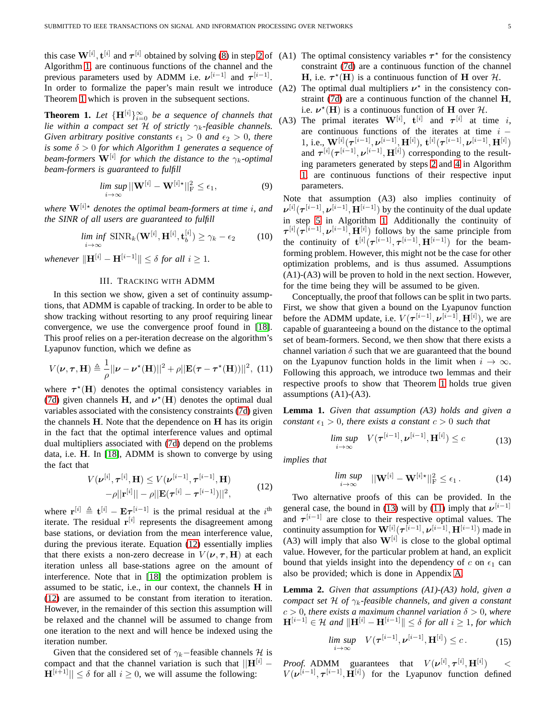this case  $W^{[i]}$ ,  $t^{[i]}$  and  $\tau^{[i]}$  obtained by solving [\(8\)](#page-3-7) in step [2](#page-3-3) of (A1) The optimal consistency variables  $\tau^*$  for the consistency Algorithm [1,](#page-3-3) are continuous functions of the channel and the previous parameters used by ADMM i.e.  $\nu^{[i-1]}$  and  $\tau^{[i-1]}$ . In order to formalize the paper's main result we introduce (A2) The optimal dual multipliers  $v^*$  in the consistency con-Theorem [1](#page-4-1) which is proven in the subsequent sections.

<span id="page-4-1"></span>**Theorem 1.** Let  ${\{\mathbf{H}^{[i]}\}}_{i=0}^{\infty}$  be a sequence of channels that *lie within a compact set*  $H$  *of strictly*  $\gamma_k$ -feasible channels. *Given arbitrary positive constants*  $\epsilon_1 > 0$  *and*  $\epsilon_2 > 0$ *, there is some* δ > 0 *for which Algorithm 1 generates a sequence of beam-formers* W[i] *for which the distance to the* γk*-optimal beam-formers is guaranteed to fulfill*

$$
\lim_{i \to \infty} \sup ||\mathbf{W}^{[i]} - \mathbf{W}^{[i] \star}||^2_{\mathrm{F}} \le \epsilon_1, \tag{9}
$$

*where*  $\mathbf{W}^{[i] \star}$  *denotes the optimal beam-formers at time i, and the SINR of all users are guaranteed to fulfill*

$$
\liminf_{i \to \infty} \text{SINR}_k(\mathbf{W}^{[i]}, \mathbf{H}^{[i]}, \mathbf{t}_b^{[i]}) \ge \gamma_k - \epsilon_2 \tag{10}
$$

<span id="page-4-0"></span>*whenever*  $\|\mathbf{H}^{[i]} - \mathbf{H}^{[i-1]}\| \leq \delta$  *for all*  $i \geq 1$ *.* 

## III. TRACKING WITH ADMM

In this section we show, given a set of continuity assumptions, that ADMM is capable of tracking. In order to be able to show tracking without resorting to any proof requiring linear convergence, we use the convergence proof found in [\[18\]](#page-12-17). This proof relies on a per-iteration decrease on the algorithm's Lyapunov function, which we define as

<span id="page-4-4"></span>
$$
V(\boldsymbol{\nu}, \boldsymbol{\tau}, \mathbf{H}) \triangleq \frac{1}{\rho} ||\boldsymbol{\nu} - \boldsymbol{\nu}^{\star}(\mathbf{H})||^{2} + \rho ||\mathbf{E}(\boldsymbol{\tau} - \boldsymbol{\tau}^{\star}(\mathbf{H}))||^{2}, (11)
$$

where  $\tau^*(H)$  denotes the optimal consistency variables in [\(7d\)](#page-3-8) given channels H, and  $v^*(H)$  denotes the optimal dual variables associated with the consistency constraints [\(7d\)](#page-3-8) given the channels  $H$ . Note that the dependence on  $H$  has its origin in the fact that the optimal interference values and optimal dual multipliers associated with [\(7d\)](#page-3-8) depend on the problems data, i.e. H. In [\[18\]](#page-12-17), ADMM is shown to converge by using the fact that

<span id="page-4-2"></span>
$$
V(\nu^{[i]}, \tau^{[i]}, \mathbf{H}) \le V(\nu^{[i-1]}, \tau^{[i-1]}, \mathbf{H})
$$
  
- $\rho ||\mathbf{r}^{[i]}|| - \rho ||\mathbf{E}(\tau^{[i]} - \tau^{[i-1]})||^2,$  (12)

where  $\mathbf{r}^{[i]} \triangleq \mathbf{t}^{[i]} - \mathbf{E} \tau^{[i-1]}$  is the primal residual at the  $i^{\text{th}}$ iterate. The residual  $r^{[i]}$  represents the disagreement among base stations, or deviation from the mean interference value, during the previous iterate. Equation [\(12\)](#page-4-2) essentially implies that there exists a non-zero decrease in  $V(\nu, \tau, H)$  at each iteration unless all base-stations agree on the amount of interference. Note that in [\[18\]](#page-12-17) the optimization problem is assumed to be static, i.e., in our context, the channels H in [\(12\)](#page-4-2) are assumed to be constant from iteration to iteration. However, in the remainder of this section this assumption will be relaxed and the channel will be assumed to change from one iteration to the next and will hence be indexed using the iteration number.

Given that the considered set of  $\gamma_k$ −feasible channels H is compact and that the channel variation is such that  $||\mathbf{H}^{[i]}$  –  $\mathbf{H}^{[i+1]}|| \leq \delta$  for all  $i \geq 0$ , we will assume the following:

- constraint [\(7d\)](#page-3-8) are a continuous function of the channel **H**, i.e.  $\tau^*(H)$  is a continuous function of **H** over  $H$ .
- straint [\(7d\)](#page-3-8) are a continuous function of the channel H, i.e.  $\nu^*(\mathbf{H})$  is a continuous function of  $\mathbf{H}$  over  $\mathcal{H}$ .
- (A3) The primal iterates  $\mathbf{W}^{[i]}$ ,  $\mathbf{t}^{[i]}$  and  $\boldsymbol{\tau}^{[i]}$  at time i, are continuous functions of the iterates at time  $i 1, \, {\rm i.e.,}\ \mathbf{W}^{[i]}(\boldsymbol{\tau}^{[i-1]}, \boldsymbol{\nu}^{[i-1]}, \mathbf{H}^{[i]}),\ \mathbf{t}^{[i]}(\boldsymbol{\tau}^{[i-1]}, \boldsymbol{\nu}^{[i-1]}, \mathbf{H}^{[i]})$ and  $\tau^{[i]}(\tau^{[i-1]}, \nu^{[i-1]}, \mathbf{H}^{[i]})$  corresponding to the resulting parameters generated by steps [2](#page-3-3) and [4](#page-3-9) in Algorithm [1,](#page-3-3) are continuous functions of their respective input parameters.

Note that assumption (A3) also implies continuity of  $v^{[i]}(\tau^{[i-1]}, \nu^{[i-1]}, \mathbf{H}^{[i-1]})$  by the continuity of the dual update in step [5](#page-3-9) in Algorithm [1.](#page-3-3) Additionally the continuity of  $\tau^{[i]}(\tau^{[i-1]}, \nu^{[i-1]}, \mathbf{H}^{[i]})$  follows by the same principle from the continuity of  $\mathbf{t}^{[i]}(\tau^{[i-1]}, \tau^{[i-1]}, \mathbf{H}^{[i-1]})$  for the beamforming problem. However, this might not be the case for other optimization problems, and is thus assumed. Assumptions (A1)-(A3) will be proven to hold in the next section. However, for the time being they will be assumed to be given.

Conceptually, the proof that follows can be split in two parts. First, we show that given a bound on the Lyapunov function before the ADMM update, i.e.  $V(\tau^{[i-1]}, \nu^{[i-1]}, \mathbf{H}^{[i]})$ , we are capable of guaranteeing a bound on the distance to the optimal set of beam-formers. Second, we then show that there exists a channel variation  $\delta$  such that we are guaranteed that the bound on the Lyapunov function holds in the limit when  $i \to \infty$ . Following this approach, we introduce two lemmas and their respective proofs to show that Theorem [1](#page-4-1) holds true given assumptions (A1)-(A3).

**Lemma 1.** *Given that assumption (A3) holds and given a constant*  $\epsilon_1 > 0$ *, there exists a constant*  $c > 0$  *such that* 

<span id="page-4-3"></span>
$$
\limsup_{i \to \infty} V(\boldsymbol{\tau}^{[i-1]}, \boldsymbol{\nu}^{[i-1]}, \mathbf{H}^{[i]}) \le c \tag{13}
$$

*implies that*

$$
\limsup_{i\to\infty} \quad ||\mathbf{W}^{[i]} - \mathbf{W}^{[i]\star}||^2_F \le \epsilon_1.
$$
 (14)

Two alternative proofs of this can be provided. In the general case, the bound in [\(13\)](#page-4-3) will by [\(11\)](#page-4-4) imply that  $\nu^{[i-1]}$ and  $\tau^{[i-1]}$  are close to their respective optimal values. The continuity assumption for  $\mathbf{W}^{[i]} ( \boldsymbol{\tau}^{[i-1]}, \boldsymbol{\nu}^{[i-1]}, \mathbf{H}^{[i-1]})$  made in (A3) will imply that also  $W^{[i]}$  is close to the global optimal value. However, for the particular problem at hand, an explicit bound that yields insight into the dependency of c on  $\epsilon_1$  can also be provided; which is done in Appendix [A.](#page-10-0)

<span id="page-4-5"></span>**Lemma 2.** *Given that assumptions (A1)-(A3) hold, given a compact set* H *of* γk*-feasible channels, and given a constant*  $c > 0$ , there exists a maximum channel variation  $\delta > 0$ , where  $H^{[i-1]} \in \mathcal{H}$  and  $\|\mathbf{H}^{[i]} - \mathbf{H}^{[i-1]}\| \leq \delta$  for all  $i \geq 1$ , for which

$$
\limsup_{i \to \infty} V(\boldsymbol{\tau}^{[i-1]}, \boldsymbol{\nu}^{[i-1]}, \mathbf{H}^{[i]}) \le c. \tag{15}
$$

*Proof.* ADMM guarantees that  $V(\boldsymbol{\nu}^{[i]}, \boldsymbol{\tau}^{[i]}, \mathbf{H}^{[i]})$  $\lt$  $V(\boldsymbol{\nu}^{[i-1]}, \boldsymbol{\tau}^{[i-1]}, \mathbf{H}^{[i]})$  for the Lyapunov function defined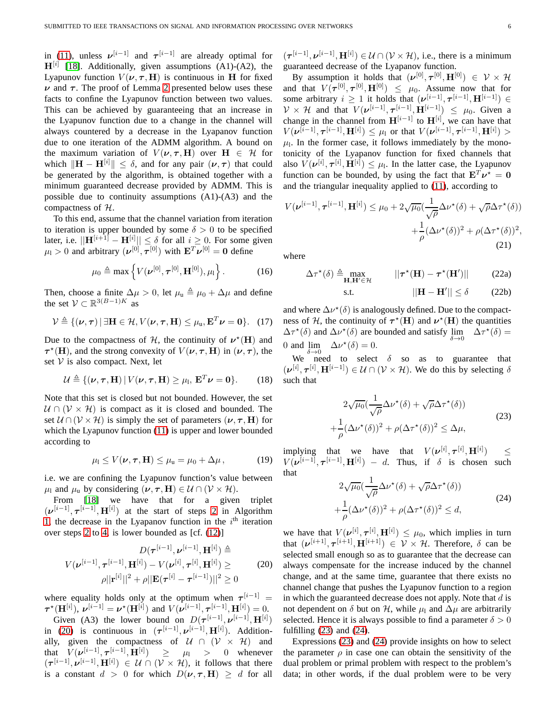in [\(11\)](#page-4-4), unless  $\nu^{[i-1]}$  and  $\tau^{[i-1]}$  are already optimal for  $H^{[i]}$  [\[18\]](#page-12-17). Additionally, given assumptions (A1)-(A2), the Lyapunov function  $V(\nu, \tau, H)$  is continuous in H for fixed  $\nu$  and  $\tau$ . The proof of Lemma [2](#page-4-5) presented below uses these facts to confine the Lyapunov function between two values. This can be achieved by guaranteeing that an increase in the Lyapunov function due to a change in the channel will always countered by a decrease in the Lyapanov function due to one iteration of the ADMM algorithm. A bound on the maximum variation of  $V(\nu, \tau, H)$  over  $H \in \mathcal{H}$  for which  $\|\mathbf{H} - \mathbf{H}^{[i]}\| \leq \delta$ , and for any pair  $(\nu, \tau)$  that could be generated by the algorithm, is obtained together with a minimum guaranteed decrease provided by ADMM. This is possible due to continuity assumptions (A1)-(A3) and the compactness of H.

To this end, assume that the channel variation from iteration to iteration is upper bounded by some  $\delta > 0$  to be specified later, i.e.  $||\mathbf{H}^{[i+1]} - \mathbf{H}^{[i]}|| \leq \delta$  for all  $i \geq 0$ . For some given  $\mu_1 > 0$  and arbitrary  $(\boldsymbol{\nu}^{[0]}, \boldsymbol{\tau}^{[0]})$  with  $\mathbf{E}^T \boldsymbol{\nu}^{[0]} = \mathbf{0}$  define

$$
\mu_0 \triangleq \max \left\{ V(\boldsymbol{\nu}^{[0]}, \boldsymbol{\tau}^{[0]}, \mathbf{H}^{[0]}), \mu_1 \right\}. \tag{16}
$$

Then, choose a finite  $\Delta \mu > 0$ , let  $\mu_u \triangleq \mu_0 + \Delta \mu$  and define the set  $V \subset \mathbb{R}^{3(B-1)K}$  as

$$
\mathcal{V} \triangleq \{(\boldsymbol{\nu}, \boldsymbol{\tau}) \, | \, \exists \mathbf{H} \in \mathcal{H}, V(\boldsymbol{\nu}, \boldsymbol{\tau}, \mathbf{H}) \leq \mu_{\mathbf{u}}, \mathbf{E}^T \boldsymbol{\nu} = \mathbf{0} \}. \tag{17}
$$

Due to the compactness of  $H$ , the continuity of  $\nu^*(H)$  and  $\tau^*(\mathbf{H})$ , and the strong convexity of  $V(\nu, \tau, \mathbf{H})$  in  $(\nu, \tau)$ , the set  $V$  is also compact. Next, let

$$
\mathcal{U} \triangleq \{(\boldsymbol{\nu}, \boldsymbol{\tau}, \mathbf{H}) \,|\, V(\boldsymbol{\nu}, \boldsymbol{\tau}, \mathbf{H}) \geq \mu_1, \, \mathbf{E}^T \boldsymbol{\nu} = \mathbf{0}\}. \qquad (18)
$$

Note that this set is closed but not bounded. However, the set  $U \cap (V \times H)$  is compact as it is closed and bounded. The set  $U \cap (V \times H)$  is simply the set of parameters  $(\nu, \tau, H)$  for which the Lyapunov function [\(11\)](#page-4-4) is upper and lower bounded according to

$$
\mu_1 \le V(\nu, \tau, \mathbf{H}) \le \mu_{\mathbf{u}} = \mu_0 + \Delta \mu, \tag{19}
$$

i.e. we are confining the Lyapunov function's value between  $\mu_1$  and  $\mu_0$  by considering  $(\nu, \tau, H) \in \mathcal{U} \cap (\mathcal{V} \times \mathcal{H})$ .

From [\[18\]](#page-12-17) we have that for a given triplet  $(\boldsymbol{\nu}^{[i-1]}, \boldsymbol{\tau}^{[i-1]}, \mathbf{H}^{[i]})$  at the start of steps [2](#page-3-3) in Algorithm [1,](#page-3-3) the decrease in the Lyapanov function in the  $i<sup>th</sup>$  iteration over steps [2](#page-3-3) to [4,](#page-3-9) is lower bounded as [cf. [\(12\)](#page-4-2)]

<span id="page-5-0"></span>
$$
D(\boldsymbol{\tau}^{[i-1]}, \boldsymbol{\nu}^{[i-1]}, \mathbf{H}^{[i]}) \triangleq V(\boldsymbol{\nu}^{[i-1]}, \boldsymbol{\tau}^{[i-1]}, \mathbf{H}^{[i]}) - V(\boldsymbol{\nu}^{[i]}, \boldsymbol{\tau}^{[i]}, \mathbf{H}^{[i]}) \geq \rho ||\mathbf{r}^{[i]}||^2 + \rho ||\mathbf{E}(\boldsymbol{\tau}^{[i]} - \boldsymbol{\tau}^{[i-1]})||^2 \geq 0
$$
\n(20)

where equality holds only at the optimum when  $\tau^{i-1}$  =  $\tau^{\star}(\mathbf{H}^{[i]}), \nu^{[i-1]} = \nu^{\star}(\mathbf{H}^{[i]})$  and  $V(\nu^{[i-1]}, \tau^{[i-1]}, \mathbf{H}^{[i]}) = 0$ .

Given (A3) the lower bound on  $D(\tau^{[i-1]}, \nu^{[i-1]}, \mathbf{H}^{[i]})$ in [\(20\)](#page-5-0) is continuous in  $(\tau^{[i-1]}, \nu^{[i-1]}, \mathbf{H}^{[i]})$ . Additionally, given the compactness of  $U \cap (V \times H)$  and that  $V(\nu^{[i-1]}, \tau^{[i-1]}, \mathbf{H}^{[i]}) \geq \mu_1 > 0$  whenever  $(\tau^{[i-1]}, \nu^{[i-1]}, \mathbf{H}^{[i]}) \in \mathcal{U} \cap (\mathcal{V} \times \mathcal{H})$ , it follows that there is a constant  $d > 0$  for which  $D(\nu, \tau, H) \geq d$  for all

 $(\tau^{[i-1]}, \nu^{[i-1]}, \mathbf{H}^{[i]}) \in \mathcal{U} \cap (\mathcal{V} \times \mathcal{H})$ , i.e., there is a minimum guaranteed decrease of the Lyapanov function.

By assumption it holds that  $(\boldsymbol{\nu}^{[0]}, \boldsymbol{\tau}^{[0]}, \mathbf{H}^{[0]}) \in \mathcal{V} \times \mathcal{H}$ and that  $V(\boldsymbol{\tau}^{[0]}, \boldsymbol{\tau}^{[0]}, \mathbf{H}^{[0]}) \leq \mu_0$ . Assume now that for some arbitrary  $i \geq 1$  it holds that  $(\nu^{[i-1]}, \tau^{[i-1]}, \mathbf{H}^{[i-1]}) \in$  $\mathcal{V} \times \mathcal{H}$  and that  $V(\boldsymbol{\nu}^{[i-1]}, \boldsymbol{\tau}^{[i-1]}, \mathbf{H}^{[i-1]}) \leq \mu_0$ . Given a change in the channel from  $H^{[i-1]}$  to  $H^{[i]}$ , we can have that  $V(\bm{\nu}^{[i-1]}, \bm{\tau}^{[i-1]}, \mathbf{H}^{[i]}) \leq \mu_1$  or that  $V(\bm{\nu}^{[i-1]}, \bm{\tau}^{[i-1]}, \mathbf{H}^{[i]}) >$  $\mu$ <sub>1</sub>. In the former case, it follows immediately by the monotonicity of the Lyapanov function for fixed channels that also  $V(\boldsymbol{\nu}^{[i]}, \boldsymbol{\tau}^{[i]}, \mathbf{H}^{[i]}) \leq \mu_1$ . In the latter case, the Lyapunov function can be bounded, by using the fact that  $E^T \nu^* = 0$ and the triangular inequality applied to [\(11\)](#page-4-4), according to

$$
V(\boldsymbol{\nu}^{[i-1]}, \boldsymbol{\tau}^{[i-1]}, \mathbf{H}^{[i]}) \leq \mu_0 + 2\sqrt{\mu_0} \left(\frac{1}{\sqrt{\rho}} \Delta \nu^*(\delta) + \sqrt{\rho} \Delta \tau^*(\delta)\right) + \frac{1}{\rho} (\Delta \nu^*(\delta))^2 + \rho (\Delta \tau^*(\delta))^2,
$$
\n(21)

where

$$
\Delta \tau^{\star}(\delta) \triangleq \max_{\mathbf{H}, \mathbf{H}' \in \mathcal{H}} ||\tau^{\star}(\mathbf{H}) - \tau^{\star}(\mathbf{H}')|| \qquad (22a)
$$

$$
||\mathbf{H} - \mathbf{H}'|| \le \delta \tag{22b}
$$

and where  $\Delta \nu^*(\delta)$  is analogously defined. Due to the compactness of H, the continuity of  $\tau^*(H)$  and  $\nu^*(H)$  the quantities  $\Delta \tau^*(\delta)$  and  $\Delta \nu^*(\delta)$  are bounded and satisfy  $\lim_{\delta \to 0} \Delta \tau^*(\delta) =$ 0 and  $\lim_{\delta \to 0^+} \Delta \nu^*(\delta) = 0.$ 

We need to select  $\delta$  so as to guarantee that  $(\boldsymbol{\nu}^{[i]}, \boldsymbol{\tau}^{[i]}, \mathbf{H}^{[i-1]}) \in \mathcal{U} \cap (\mathcal{V} \times \mathcal{H})$ . We do this by selecting  $\delta$ such that

<span id="page-5-1"></span>
$$
2\sqrt{\mu_0}(\frac{1}{\sqrt{\rho}}\Delta \nu^\star(\delta) + \sqrt{\rho}\Delta \tau^\star(\delta))
$$
  
 
$$
+\frac{1}{\rho}(\Delta \nu^\star(\delta))^2 + \rho(\Delta \tau^\star(\delta))^2 \le \Delta \mu,
$$
 (23)

implying that we have that  $V(\boldsymbol{\nu}^{[i]}, \boldsymbol{\tau}^{[i]}, \mathbf{H}^{[i]})$ ) ≤  $V(\boldsymbol{\nu}^{[i-1]}, \boldsymbol{\tau}^{[i-1]}, \mathbf{H}^{[i]}) - d$ . Thus, if  $\delta$  is chosen such that

<span id="page-5-2"></span>
$$
2\sqrt{\mu_0}(\frac{1}{\sqrt{\rho}}\Delta \nu^\star(\delta) + \sqrt{\rho}\Delta \tau^\star(\delta))
$$
  
 
$$
+\frac{1}{\rho}(\Delta \nu^\star(\delta))^2 + \rho(\Delta \tau^\star(\delta))^2 \le d,
$$
 (24)

we have that  $V(\nu^{[i]}, \tau^{[i]}, \mathbf{H}^{[i]}) \leq \mu_0$ , which implies in turn that  $(\boldsymbol{\nu}^{[i+1]}, \boldsymbol{\tau}^{[i+1]}, \mathbf{H}^{[i+1]}) \in \mathcal{V} \times \mathcal{H}$ . Therefore,  $\delta$  can be selected small enough so as to guarantee that the decrease can always compensate for the increase induced by the channel change, and at the same time, guarantee that there exists no channel change that pushes the Lyapunov function to a region in which the guaranteed decrease does not apply. Note that  $d$  is not dependent on  $\delta$  but on  $\mathcal{H}$ , while  $\mu_1$  and  $\Delta \mu$  are arbitrarily selected. Hence it is always possible to find a parameter  $\delta > 0$ fulfilling  $(23)$  and  $(24)$ .

Expressions [\(23\)](#page-5-1) and [\(24\)](#page-5-2) provide insights on how to select the parameter  $\rho$  in case one can obtain the sensitivity of the dual problem or primal problem with respect to the problem's data; in other words, if the dual problem were to be very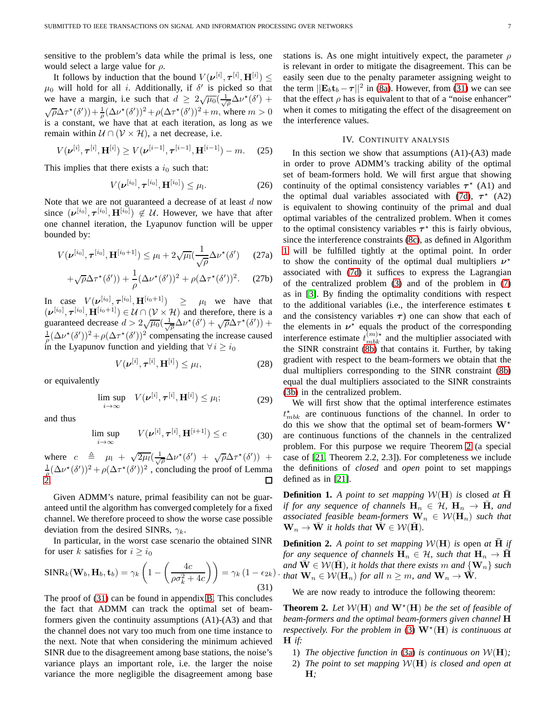sensitive to the problem's data while the primal is less, one would select a large value for  $\rho$ .

It follows by induction that the bound  $V(\boldsymbol{\nu}^{[i]}, \boldsymbol{\tau}^{[i]}, \mathbf{H}^{[i]}) \leq$  $\mu_0$  will hold for all *i*. Additionally, if  $\delta'$  is picked so that we have a margin, i.e such that  $d \geq 2\sqrt{\mu_0}(\frac{1}{\sqrt{\rho}}\Delta \nu^*(\delta') +$  $\sqrt{\rho}\Delta\tau^{\star}(\delta')$ ) +  $\frac{1}{\rho}(\Delta\nu^{\star}(\delta'))^2 + \rho(\Delta\tau^{\star}(\delta'))^2 + m$ , where  $m > 0$ is a constant, we have that at each iteration, as long as we remain within  $U \cap (V \times H)$ , a net decrease, i.e.

$$
V(\nu^{[i]}, \tau^{[i]}, \mathbf{H}^{[i]}) \ge V(\nu^{[i-1]}, \tau^{[i-1]}, \mathbf{H}^{[i-1]}) - m. \tag{25}
$$

This implies that there exists a  $i_0$  such that:

$$
V(\nu^{[i_0]}, \tau^{[i_0]}, \mathbf{H}^{[i_0]}) \leq \mu_1.
$$
 (26)

Note that we are not guaranteed a decrease of at least  $d$  now since  $(\boldsymbol{\nu}^{[i_0]}, \boldsymbol{\tau}^{[i_0]}, \mathbf{H}^{[i_0]}) \notin \mathcal{U}$ . However, we have that after one channel iteration, the Lyapunov function will be upper bounded by:

$$
V(\boldsymbol{\nu}^{[i_0]}, \boldsymbol{\tau}^{[i_0]}, \mathbf{H}^{[i_0+1]}) \leq \mu_1 + 2\sqrt{\mu_1}(\frac{1}{\sqrt{\rho}}\Delta \nu^*(\delta')
$$
 (27a)

$$
+\sqrt{\rho}\Delta\tau^{\star}(\delta'))+\frac{1}{\rho}(\Delta\nu^{\star}(\delta'))^2+\rho(\Delta\tau^{\star}(\delta'))^2.\qquad(27b)
$$

In case  $V(\boldsymbol{\nu}^{[i_0]}, \boldsymbol{\tau}^{[i_0]}, \mathbf{H}^{[i_0+1]}) \ge \mu_1$  we have that  $(\boldsymbol{\nu}^{[i_0]}, \boldsymbol{\tau}^{[i_0]}, \mathbf{H}^{[i_0+1]}) \in \mathcal{U} \cap (\mathcal{V} \times \mathcal{H})$  and therefore, there is a guaranteed decrease  $d > 2\sqrt{\mu_0} \left(\frac{1}{\sqrt{\rho}}\Delta \nu^*(\delta') + \sqrt{\rho}\Delta \tau^*(\delta')\right) +$  $\frac{1}{\rho}(\Delta \nu^*(\delta'))^2 + \rho(\Delta \tau^*(\delta'))^2$  compensating the increase caused in the Lyapunov function and yielding that  $\forall i \geq i_0$ 

$$
V(\boldsymbol{\nu}^{[i]}, \boldsymbol{\tau}^{[i]}, \mathbf{H}^{[i]}) \leq \mu_l,
$$
\n(28)

or equivalently

<span id="page-6-5"></span>
$$
\limsup_{i\to\infty} V(\boldsymbol{\nu}^{[i]}, \boldsymbol{\tau}^{[i]}, \mathbf{H}^{[i]}) \leq \mu_1; \tag{29}
$$

and thus

<span id="page-6-4"></span>
$$
\limsup_{i \to \infty} V(\boldsymbol{\nu}^{[i]}, \boldsymbol{\tau}^{[i]}, \mathbf{H}^{[i+1]}) \le c \tag{30}
$$

where  $c \triangleq \mu_1 + \sqrt{2\mu_l} \left( \frac{1}{\sqrt{\rho}} \Delta \nu^* (\delta') + \sqrt{\rho} \Delta \tau^* (\delta') \right)$  +  $\frac{1}{\rho}(\Delta \nu^*(\delta'))^2 + \rho(\Delta \tau^*(\delta'))^2$ , concluding the proof of Lemma [2.](#page-4-5)  $\Box$ 

Given ADMM's nature, primal feasibility can not be guaranteed until the algorithm has converged completely for a fixed channel. We therefore proceed to show the worse case possible deviation from the desired SINRs,  $\gamma_k$ .

In particular, in the worst case scenario the obtained SINR for user k satisfies for  $i > i_0$ 

<span id="page-6-1"></span>
$$
\text{SINR}_k(\mathbf{W}_b, \mathbf{H}_b, \mathbf{t}_b) = \gamma_k \left( 1 - \left( \frac{4c}{\rho \sigma_k^2 + 4c} \right) \right) = \gamma_k \left( 1 - \epsilon_{2k} \right).
$$
\n(31)

The proof of [\(31\)](#page-6-1) can be found in appendix [B.](#page-11-0) This concludes the fact that ADMM can track the optimal set of beamformers given the continuity assumptions (A1)-(A3) and that the channel does not vary too much from one time instance to the next. Note that when considering the minimum achieved SINR due to the disagreement among base stations, the noise's variance plays an important role, i.e. the larger the noise variance the more negligible the disagreement among base stations is. As one might intuitively expect, the parameter  $\rho$ is relevant in order to mitigate the disagreement. This can be easily seen due to the penalty parameter assigning weight to the term  $||\mathbf{E}_b \mathbf{t}_b - \boldsymbol{\tau}||^2$  in [\(8a\)](#page-3-10). However, from [\(31\)](#page-6-1) we can see that the effect  $\rho$  has is equivalent to that of a "noise enhancer" when it comes to mitigating the effect of the disagreement on the interference values.

# IV. CONTINUITY ANALYSIS

<span id="page-6-0"></span>In this section we show that assumptions  $(A1)-(A3)$  made in order to prove ADMM's tracking ability of the optimal set of beam-formers hold. We will first argue that showing continuity of the optimal consistency variables  $\tau^*$  (A1) and the optimal dual variables associated with [\(7d\)](#page-3-8),  $\tau^*$  (A2) is equivalent to showing continuity of the primal and dual optimal variables of the centralized problem. When it comes to the optimal consistency variables  $\tau^*$  this is fairly obvious, since the interference constraints [\(8c\)](#page-3-9), as defined in Algorithm [1](#page-3-3) will be fulfilled tightly at the optimal point. In order to show the continuity of the optimal dual multipliers  $v^*$ associated with [\(7d\)](#page-3-8) it suffices to express the Lagrangian of the centralized problem [\(3\)](#page-2-0) and of the problem in [\(7\)](#page-3-2) as in [\[3\]](#page-12-2). By finding the optimality conditions with respect to the additional variables (i.e., the interference estimates t and the consistency variables  $\tau$ ) one can show that each of the elements in  $\nu^*$  equals the product of the corresponding interference estimate  $t_{mbk}^{(m)\star}$  and the multiplier associated with the SINR constraint [\(8b\)](#page-3-11) that contains it. Further, by taking gradient with respect to the beam-formers we obtain that the dual multipliers corresponding to the SINR constraint [\(8b\)](#page-3-11) equal the dual multipliers associated to the SINR constraints [\(3b\)](#page-2-6) in the centralized problem.

We will first show that the optimal interference estimates  $t_{mbk}^{\star}$  are continuous functions of the channel. In order to do this we show that the optimal set of beam-formers  $W^*$ are continuous functions of the channels in the centralized problem. For this purpose we require Theorem [2](#page-6-2) (a special case of [\[21,](#page-12-20) Theorem 2.2, 2.3]). For completeness we include the definitions of *closed* and *open* point to set mappings defined as in [\[21\]](#page-12-20).

<span id="page-6-3"></span>**Definition 1.** *A point to set mapping*  $W(H)$  *is* closed *at* H *if for any sequence of channels*  $H_n \in \mathcal{H}$ ,  $H_n \rightarrow \overline{H}$ *, and associated feasible beam-formers*  $\mathbf{W}_n \in \mathcal{W}(\mathbf{H}_n)$  *such that*  $\mathbf{W}_n \to \mathbf{W}$  *it holds that*  $\mathbf{W} \in \mathcal{W}(\mathbf{H})$ *.* 

**Definition 2.** *A point to set mapping*  $W(H)$  *is* open *at*  $\overline{H}$  *if for any sequence of channels*  $H_n \in \mathcal{H}$ *, such that*  $H_n \to \overline{H}$ *and*  $\bar{W} \in \mathcal{W}(\bar{H})$ *, it holds that there exists* m *and*  $\{W_n\}$  *such that*  $\mathbf{W}_n \in \mathcal{W}(\mathbf{H}_n)$  *for all*  $n \geq m$ *, and*  $\mathbf{W}_n \to \overline{\mathbf{W}}$ *.* 

We are now ready to introduce the following theorem:

<span id="page-6-2"></span>**Theorem 2.** Let  $W(H)$  and  $W^*(H)$  be the set of feasible of *beam-formers and the optimal beam-formers given channel* H *respectively. For the problem in* [\(3\)](#page-2-0)  $W^{\star}(H)$  *is continuous at* H *if:*

- 1) *The objective function in* [\(3a\)](#page-2-7) *is continuous on*  $W(H)$ ;
- 2) *The point to set mapping* W(H) *is closed and open at* H*;*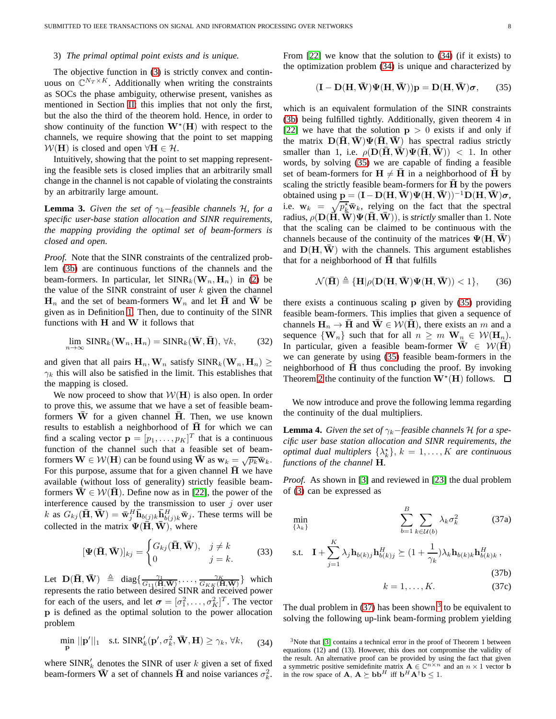## 3) *The primal optimal point exists and is unique.*

The objective function in [\(3\)](#page-2-0) is strictly convex and continuous on  $\mathbb{C}^{N_T \times K}$ . Additionally when writing the constraints as SOCs the phase ambiguity, otherwise present, vanishes as mentioned in Section [II;](#page-1-0) this implies that not only the first, but the also the third of the theorem hold. Hence, in order to show continuity of the function  $\mathbf{W}^{\star}(\mathbf{H})$  with respect to the channels, we require showing that the point to set mapping  $W(H)$  is closed and open  $\forall H \in \mathcal{H}$ .

Intuitively, showing that the point to set mapping representing the feasible sets is closed implies that an arbitrarily small change in the channel is not capable of violating the constraints by an arbitrarily large amount.

<span id="page-7-4"></span>**Lemma 3.** *Given the set of*  $\gamma_k$ −*feasible channels* H, *for a specific user-base station allocation and SINR requirements, the mapping providing the optimal set of beam-formers is closed and open.*

*Proof.* Note that the SINR constraints of the centralized problem [\(3b\)](#page-2-6) are continuous functions of the channels and the beam-formers. In particular, let  $SINR_k(W_n, H_n)$  in [\(2\)](#page-2-8) be the value of the SINR constraint of user  $k$  given the channel  $\mathbf{H}_n$  and the set of beam-formers  $\mathbf{W}_n$  and let  $\mathbf{\overline{H}}$  and  $\mathbf{\overline{W}}$  be given as in Definition [1.](#page-6-3) Then, due to continuity of the SINR functions with  $H$  and  $W$  it follows that

$$
\lim_{n \to \infty} \text{SINR}_k(\mathbf{W}_n, \mathbf{H}_n) = \text{SINR}_k(\bar{\mathbf{W}}, \bar{\mathbf{H}}), \forall k,
$$
 (32)

and given that all pairs  $\mathbf{H}_n, \mathbf{W}_n$  satisfy  $SINR_k(\mathbf{W}_n, \mathbf{H}_n) \geq$  $\gamma_k$  this will also be satisfied in the limit. This establishes that the mapping is closed.

We now proceed to show that  $W(H)$  is also open. In order to prove this, we assume that we have a set of feasible beamformers  $\overline{W}$  for a given channel  $\overline{H}$ . Then, we use known results to establish a neighborhood of  $\overline{H}$  for which we can find a scaling vector  $\mathbf{p} = [p_1, \dots, p_K]^T$  that is a continuous function of the channel such that a feasible set of beamformers  $\mathbf{W} \in \mathcal{W}(\mathbf{H})$  can be found using  $\bar{\mathbf{W}}$  as  $\mathbf{w}_k = \sqrt{p_k} \bar{\mathbf{w}}_k$ . For this purpose, assume that for a given channel  $\bar{H}$  we have available (without loss of generality) strictly feasible beamformers  $\overline{W} \in \mathcal{W}(\overline{H})$ . Define now as in [\[22\]](#page-12-21), the power of the interference caused by the transmission to user  $j$  over user k as  $G_{kj}(\bar{\mathbf{H}}, \bar{\mathbf{W}}) = \bar{\mathbf{w}}_j^H \bar{\mathbf{h}}_{b(j)k} \bar{\mathbf{h}}_{b(j)k}^H \bar{\mathbf{w}}_j$ . These terms will be collected in the matrix  $\Psi(\mathbf{\bar{H}}, \mathbf{\bar{W}})$ , where

$$
[\mathbf{\Psi}(\bar{\mathbf{H}}, \bar{\mathbf{W}})]_{kj} = \begin{cases} G_{kj}(\bar{\mathbf{H}}, \bar{\mathbf{W}}), & j \neq k \\ 0 & j = k. \end{cases}
$$
 (33)

Let  $\mathbf{D}(\mathbf{\bar{H}}, \mathbf{\bar{W}}) \triangleq diag\{\frac{\gamma_1}{G_{11}(\mathbf{\bar{H}}, \mathbf{\bar{W}})}, \dots, \frac{\gamma_K}{G_{KK}(\mathbf{\bar{H}}, \mathbf{\bar{W}})}\}$  which represents the ratio between desired SINR and received power for each of the users, and let  $\boldsymbol{\sigma} = [\sigma_1^2, \dots, \sigma_K^2]^T$ . The vector p is defined as the optimal solution to the power allocation problem

<span id="page-7-0"></span>
$$
\min_{\mathbf{p}} ||\mathbf{p}'||_1 \quad \text{s.t. } \text{SINR}'_k(\mathbf{p}', \sigma_k^2, \bar{\mathbf{W}}, \mathbf{H}) \ge \gamma_k, \forall k, \tag{34}
$$

where  $SINR'_{k}$  denotes the SINR of user k given a set of fixed beam-formers  $\bar{W}$  a set of channels  $\bar{H}$  and noise variances  $\sigma_k^2$ .

From [\[22\]](#page-12-21) we know that the solution to [\(34\)](#page-7-0) (if it exists) to the optimization problem [\(34\)](#page-7-0) is unique and characterized by

<span id="page-7-1"></span>
$$
(\mathbf{I} - \mathbf{D}(\mathbf{H}, \bar{\mathbf{W}})\Psi(\mathbf{H}, \bar{\mathbf{W}}))\mathbf{p} = \mathbf{D}(\mathbf{H}, \bar{\mathbf{W}})\boldsymbol{\sigma},\qquad(35)
$$

which is an equivalent formulation of the SINR constraints [\(3b\)](#page-2-6) being fulfilled tightly. Additionally, given theorem 4 in [\[22\]](#page-12-21) we have that the solution  $p > 0$  exists if and only if the matrix  $D(H, \overline{W})\Psi(H, W)$  has spectral radius strictly smaller than 1, i.e.  $\rho(\mathbf{D}(\bar{\mathbf{H}}, \bar{\mathbf{W}})\Psi(\bar{\mathbf{H}}, \bar{\mathbf{W}}))$  < 1. In other words, by solving [\(35\)](#page-7-1) we are capable of finding a feasible set of beam-formers for  $H \neq \overline{H}$  in a neighborhood of H by scaling the strictly feasible beam-formers for  $H$  by the powers obtained using  $\mathbf{p} = (\mathbf{I} - \mathbf{D}(\mathbf{H}, \bar{\mathbf{W}}) \Psi(\mathbf{H}, \bar{\mathbf{W}}))^{-1} \mathbf{D}(\mathbf{H}, \bar{\mathbf{W}}) \sigma$ , i.e.  $\mathbf{w}_k = \sqrt{p_k^{\star}} \mathbf{\bar{w}}_k$ , relying on the fact that the spectral radius,  $\rho(D(\bar{H}, \bar{W})\Psi(\bar{H}, \bar{W}))$ , is *strictly* smaller than 1. Note that the scaling can be claimed to be continuous with the channels because of the continuity of the matrices  $\Psi(\mathbf{H},\mathbf{W})$ and  $D(H, \overline{W})$  with the channels. This argument establishes that for a neighborhood of  $\bar{H}$  that fulfills

$$
\mathcal{N}(\mathbf{\bar{H}}) \triangleq {\mathbf{H}|\rho(\mathbf{D}(\mathbf{H}, \mathbf{\bar{W}})\Psi(\mathbf{H}, \mathbf{\bar{W}})) < 1},\qquad(36)
$$

there exists a continuous scaling p given by [\(35\)](#page-7-1) providing feasible beam-formers. This implies that given a sequence of channels  $H_n \to \bar{H}$  and  $\bar{W} \in \mathcal{W}(\bar{H})$ , there exists an m and a sequence  $\{W_n\}$  such that for all  $n \geq m$   $W_n \in W(H_n)$ . In particular, given a feasible beam-former  $\overline{W} \in \mathcal{W}(\overline{H})$ we can generate by using [\(35\)](#page-7-1) feasible beam-formers in the neighborhood of  $\overline{H}$  thus concluding the proof. By invoking Theorem [2](#page-6-2) the continuity of the function  $\mathbf{W}^{\star}(\mathbf{H})$  follows.

We now introduce and prove the following lemma regarding the continuity of the dual multipliers.

**Lemma 4.** *Given the set of*  $\gamma_k$ −*feasible channels* H *for a specific user base station allocation and SINR requirements, the optimal dual multiplers*  $\{\lambda_k^{\star}\}, k = 1, ..., K$  *are continuous functions of the channel* H*.*

*Proof.* As shown in [\[3\]](#page-12-2) and reviewed in [\[23\]](#page-12-22) the dual problem of [\(3\)](#page-2-0) can be expressed as

<span id="page-7-2"></span>
$$
\min_{\{\lambda_k\}} \qquad \qquad \sum_{b=1}^B \sum_{k \in \mathcal{U}(b)} \lambda_k \sigma_k^2 \qquad \qquad (37a)
$$

s.t. 
$$
\mathbf{I} + \sum_{j=1}^{K} \lambda_j \mathbf{h}_{b(k)j} \mathbf{h}_{b(k)j}^H \succeq (1 + \frac{1}{\gamma_k}) \lambda_k \mathbf{h}_{b(k)k} \mathbf{h}_{b(k)k}^H,
$$
\n(37b)

$$
k = 1, \dots, K. \tag{37c}
$$

The dual problem in  $(37)$  $(37)$  $(37)$  has been shown  $3$  to be equivalent to solving the following up-link beam-forming problem yielding

<span id="page-7-3"></span><sup>&</sup>lt;sup>3</sup>Note that [\[3\]](#page-12-2) contains a technical error in the proof of Theorem 1 between equations (12) and (13). However, this does not compromise the validity of the result. An alternative proof can be provided by using the fact that given<br>a symmetric positive semidefinite matrix  $A \in \mathbb{C}^{n \times n}$  and an  $n \times 1$  vector b in the row space of  $\mathbf{A}, \mathbf{A} \succeq \mathbf{b} \mathbf{b}^H$  iff  $\mathbf{b}^H \mathbf{A}^\dagger \mathbf{b} \leq 1$ .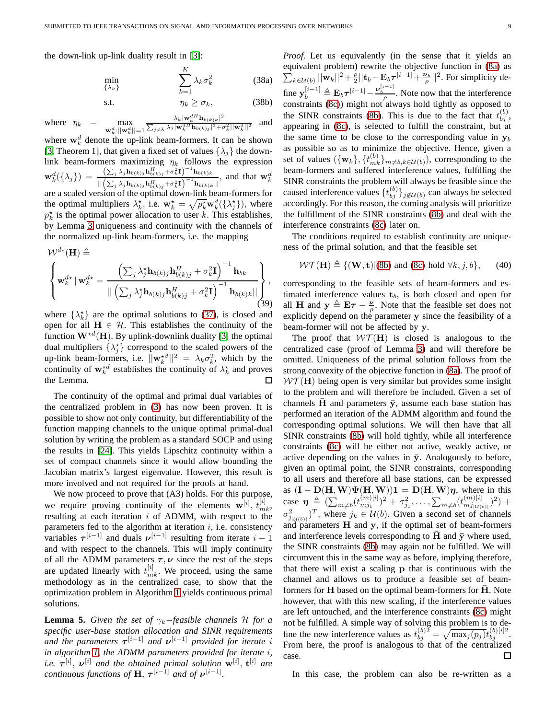the down-link up-link duality result in [\[3\]](#page-12-2):

$$
\min_{\{\lambda_k\}} \sum_{k=1}^{K} \lambda_k \sigma_k^2
$$
 (38a)  
s.t. 
$$
\eta_k \ge \sigma_k,
$$
 (38b)

where 
$$
\eta_k = \max_{\mathbf{w}_k^d: \|\mathbf{w}_k^d\| = 1} \frac{\lambda_k |\mathbf{w}_k^d \mathbf{h}_{b(k)k}|^2}{\sum_{j \neq k} \lambda_j |\mathbf{w}_k^d \mathbf{h}_{b(k)j}|^2 + \sigma_k^2 ||\mathbf{w}_k^d||^2}
$$
 and

where  $\mathbf{w}_k^d$  denote the up-link beam-formers. It can be shown [\[3,](#page-12-2) Theorem 1], that given a fixed set of values  $\{\lambda_i\}$  the downlink beam-formers maximizing  $\eta_k$  follows the expression  $\mathbf{w}_k^d(\{\lambda_j\}) = \frac{\left(\sum_j \lambda_j \mathbf{h}_{b(k)j} \mathbf{h}_{b(k)j}^H + \sigma_k^2 \mathbf{I}\right)^{-1} \mathbf{h}_{b(k)k}}{\|(\nabla \cdot \mathbf{h}_{b(k)j} \mathbf{h}_{b(k)j}^H + \sigma_k^2 \mathbf{I}\right)^{-1} \mathbf{h}_{b(k)k}}$  $||\Bigl(\sum_j \lambda_j \mathbf{h}_{b(k)j}\mathbf{h}_{b(k)j}^H\!+\!\sigma_k^2\mathbf{I}\Bigr)^{-1}\mathbf{h}_{b(k)k}||$ , and that  $\mathbf{w}_k^d$ are a scaled version of the optimal down-link beam-formers for the optimal multipliers  $\lambda_k^*$ , i.e.  $\mathbf{w}_k^* = \sqrt{p_k^*} \mathbf{w}_k^d(\{\lambda_j^*\})$ , where  $p_k^*$  is the optimal power allocation to user  $k$ . This establishes, by Lemma [3](#page-7-4) uniqueness and continuity with the channels of the normalized up-link beam-formers, i.e. the mapping

$$
\mathcal{W}^{d\star}(\mathbf{H}) \triangleq \left\{ \mathbf{w}_{k}^{d\star} \mid \mathbf{w}_{k}^{d\star} = \frac{\left(\sum_{j} \lambda_{j}^{\star} \mathbf{h}_{b(k)j} \mathbf{h}_{b(k)j}^{H} + \sigma_{k}^{2} \mathbf{I}\right)^{-1} \mathbf{h}_{bk}}{\|\left(\sum_{j} \lambda_{j}^{\star} \mathbf{h}_{b(k)j} \mathbf{h}_{b(k)j}^{H} + \sigma_{k}^{2} \mathbf{I}\right)^{-1} \mathbf{h}_{b(k)k}\|}\right\},\tag{39}
$$

where  $\{\lambda_k^{\star}\}$  are the optimal solutions to [\(37\)](#page-7-2), is closed and open for all  $H \in \mathcal{H}$ . This establishes the continuity of the function  $\mathbf{W}^{\star d}(\mathbf{H})$ . By uplink-downlink duality [\[3\]](#page-12-2) the optimal dual multipliers  $\{\lambda_j^*\}$  correspond to the scaled powers of the up-link beam-formers, i.e.  $||\mathbf{w}_k^{*d}||^2 = \lambda_k \sigma_k^2$ , which by the continuity of  $w_k^{\star d}$  establishes the continuity of  $\lambda_k^{\star}$  and proves the Lemma.  $\Box$ 

The continuity of the optimal and primal dual variables of the centralized problem in [\(3\)](#page-2-0) has now been proven. It is possible to show not only continuity, but differentiability of the function mapping channels to the unique optimal primal-dual solution by writing the problem as a standard SOCP and using the results in [\[24\]](#page-12-23). This yields Lipschitz continuity within a set of compact channels since it would allow bounding the Jacobian matrix's largest eigenvalue. However, this result is more involved and not required for the proofs at hand.

We now proceed to prove that (A3) holds. For this purpose, we require proving continuity of the elements  $\mathbf{w}^{[i]}$ ,  $t_{mk}^{[i]}$ , resulting at each iteration  $i$  of ADMM, with respect to the parameters fed to the algorithm at iteration  $i$ , i.e. consistency variables  $\tau^{[i-1]}$  and duals  $\nu^{[i-1]}$  resulting from iterate  $i-1$ and with respect to the channels. This will imply continuity of all the ADMM parameters  $\tau, \nu$  since the rest of the steps are updated linearly with  $t_{mk}^{[i]}$ . We proceed, using the same methodology as in the centralized case, to show that the optimization problem in Algorithm [1](#page-3-3) yields continuous primal solutions.

**Lemma 5.** *Given the set of*  $\gamma_k$ −*feasible channels* H *for a specific user-base station allocation and SINR requirements and the parameters*  $τ<sup>[i-1]</sup>$  *and*  $ν<sup>[i-1]</sup>$  *provided for iterate i in algorithm [1,](#page-3-3) the ADMM parameters provided for iterate* i*, i.e.*  $\tau^{[i]}$ ,  $\nu^{[i]}$  and the obtained primal solution  $\mathbf{w}^{[i]}$ ,  $\mathbf{t}^{[i]}$  are *continuous functions of* **H**,  $\tau^{[i-1]}$  *and of*  $\nu^{[i-1]}$ *.* 

*Proof.* Let us equivalently (in the sense that it yields an equivalent problem) rewrite the objective function in [\(8a\)](#page-3-10) as  $\sum_{k\in\mathcal{U}(b)}^{\bullet}||\mathbf{w}_k||^2+\frac{\rho}{2}$  $\frac{\rho}{2}$ ||t<sub>b</sub> –  $\mathbf{E}_b \tau^{[i-1]} + \frac{\nu_b}{\rho}$ ||<sup>2</sup>. For simplicity define  $\mathbf{y}_b^{[i-1]} \triangleq \mathbf{E}_b \tau^{[i-1]} - \frac{\nu_b^{[i-1]}}{\rho}$ . Note now that the interference constraints [\(8c\)](#page-3-9)) might not always hold tightly as opposed to the SINR constraints [\(8b\)](#page-3-11). This is due to the fact that  $t_{bj}^{(b)}$ , appearing in [\(8c\)](#page-3-9), is selected to fulfill the constraint, but at the same time to be close to the corresponding value in  $y_b$ as possible so as to minimize the objective. Hence, given a set of values  $({w_k}, {\{t_{mk}^{(b)}\}}_{m \neq b, k \in U(b)})$ , corresponding to the beam-formers and suffered interference values, fulfilling the SINR constraints the problem will always be feasible since the caused interference values  $\{t_{bj}^{(b)}\}_{j\not\in\mathcal{U}(b)}$  can always be selected accordingly. For this reason, the coming analysis will prioritize the fulfillment of the SINR constraints [\(8b\)](#page-3-11) and deal with the interference constraints [\(8c\)](#page-3-9) later on.

The conditions required to establish continuity are uniqueness of the primal solution, and that the feasible set

<span id="page-8-0"></span>
$$
\mathcal{WT}(\mathbf{H}) \triangleq \{ (\mathbf{W}, \mathbf{t}) | (8b) \text{ and } (8c) \text{ hold } \forall k, j, b \}, \qquad (40)
$$

corresponding to the feasible sets of beam-formers and estimated interference values  $t<sub>b</sub>$ , is both closed and open for all **H** and  $y \triangleq E\tau - \frac{\nu}{\rho}$  $\frac{\nu}{\rho}$ . Note that the feasible set does not explicitly depend on the parameter y since the feasibility of a beam-former will not be affected by y.

The proof that  $W\mathcal{T}(\mathbf{H})$  is closed is analogous to the centralized case (proof of Lemma [3\)](#page-7-4) and will therefore be omitted. Uniqueness of the primal solution follows from the strong convexity of the objective function in [\(8a\)](#page-3-10). The proof of  $W\mathcal{T}(\mathbf{H})$  being open is very similar but provides some insight to the problem and will therefore be included. Given a set of channels  $\bar{H}$  and parameters  $\bar{y}$ , assume each base station has performed an iteration of the ADMM algorithm and found the corresponding optimal solutions. We will then have that all SINR constraints [\(8b\)](#page-3-11) will hold tightly, while all interference constraints [\(8c\)](#page-3-9) will be either not active, weakly active, or active depending on the values in  $\bar{y}$ . Analogously to before, given an optimal point, the SINR constraints, corresponding to all users and therefore all base stations, can be expressed as  $(I - D(H, W)\Psi(H, W))1 = D(H, W)\eta$ , where in this case  $\eta \triangleq (\sum_{m \neq b} (t_{mj_1}^{(m)[i]})^2 + \sigma_{j_1}^2, \ldots, \sum_{m \neq b} (t_{mj_{|U(b)|}}^{(m)[i]})^2) +$  $\sigma_{j_{\vert \mathcal{U}(b) \vert}}^2$ , where  $j_k \in \mathcal{U}(b)$ . Given a second set of channels and parameters H and y, if the optimal set of beam-formers and interference levels corresponding to H and  $\bar{v}$  where used, the SINR constraints [\(8b\)](#page-3-11) may again not be fulfilled. We will circumvent this in the same way as before, implying therefore, that there will exist a scaling p that is continuous with the channel and allows us to produce a feasible set of beamformers for  $H$  based on the optimal beam-formers for  $\bar{H}$ . Note however, that with this new scaling, if the interference values are left untouched, and the interference constraints [\(8c\)](#page-3-9) might not be fulfilled. A simple way of solving this problem is to define the new interference values as  $t_{bj}^{(b)2} = \sqrt{\max_j(p_j)} t_{bj}^{(b)[i]2}$ . From here, the proof is analogous to that of the centralized case. □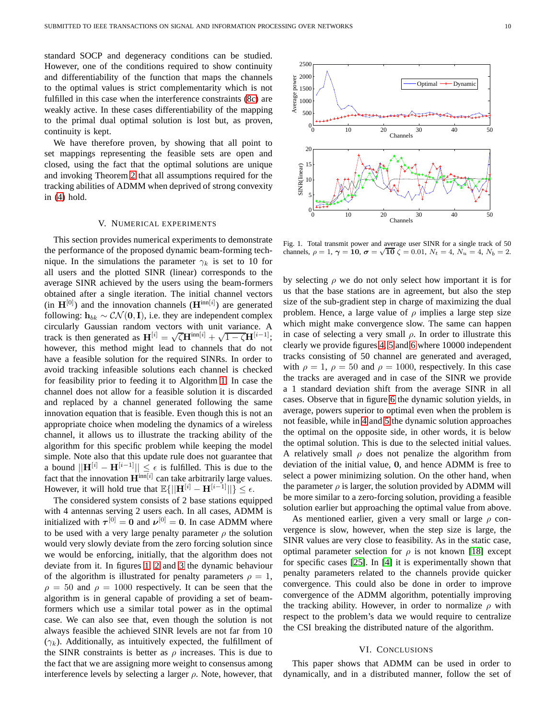standard SOCP and degeneracy conditions can be studied. However, one of the conditions required to show continuity and differentiability of the function that maps the channels to the optimal values is strict complementarity which is not fulfilled in this case when the interference constraints [\(8c\)](#page-3-9) are weakly active. In these cases differentiability of the mapping to the primal dual optimal solution is lost but, as proven, continuity is kept.

We have therefore proven, by showing that all point to set mappings representing the feasible sets are open and closed, using the fact that the optimal solutions are unique and invoking Theorem [2](#page-6-2) that all assumptions required for the tracking abilities of ADMM when deprived of strong convexity in [\(4\)](#page-2-3) hold.

## V. NUMERICAL EXPERIMENTS

<span id="page-9-0"></span>This section provides numerical experiments to demonstrate the performance of the proposed dynamic beam-forming technique. In the simulations the parameter  $\gamma_k$  is set to 10 for all users and the plotted SINR (linear) corresponds to the average SINR achieved by the users using the beam-formers obtained after a single iteration. The initial channel vectors (in  $\mathbf{H}^{[0]}$ ) and the innovation channels ( $\mathbf{H}^{\text{inn}[i]}$ ) are generated following:  $h_{bk} \sim \mathcal{CN}(\mathbf{0}, \mathbf{I})$ , i.e. they are independent complex circularly Gaussian random vectors with unit variance. A track is then generated as  $\mathbf{H}^{[i]} = \sqrt{\zeta} \mathbf{H}^{\text{inn}[i]} + \sqrt{1 - \zeta} \mathbf{H}^{[i-1]};$ however, this method might lead to channels that do not have a feasible solution for the required SINRs. In order to avoid tracking infeasible solutions each channel is checked for feasibility prior to feeding it to Algorithm [1.](#page-3-3) In case the channel does not allow for a feasible solution it is discarded and replaced by a channel generated following the same innovation equation that is feasible. Even though this is not an appropriate choice when modeling the dynamics of a wireless channel, it allows us to illustrate the tracking ability of the algorithm for this specific problem while keeping the model simple. Note also that this update rule does not guarantee that a bound  $||\mathbf{H}^{[i]} - \mathbf{H}^{[i-1]}|| \leq \epsilon$  is fulfilled. This is due to the fact that the innovation  $H^{inn[i]}$  can take arbitrarily large values. However, it will hold true that  $\mathbb{E}\{||\mathbf{H}^{[i]} - \mathbf{H}^{[i-1]}||\} \leq \epsilon$ .

The considered system consists of 2 base stations equipped with 4 antennas serving 2 users each. In all cases, ADMM is initialized with  $\tau^{[0]} = 0$  and  $\nu^{[0]} = 0$ . In case ADMM where to be used with a very large penalty parameter  $\rho$  the solution would very slowly deviate from the zero forcing solution since we would be enforcing, initially, that the algorithm does not deviate from it. In figures [1,](#page-9-2) [2](#page-10-1) and [3](#page-10-2) the dynamic behaviour of the algorithm is illustrated for penalty parameters  $\rho = 1$ ,  $\rho = 50$  and  $\rho = 1000$  respectively. It can be seen that the algorithm is in general capable of providing a set of beamformers which use a similar total power as in the optimal case. We can also see that, even though the solution is not always feasible the achieved SINR levels are not far from 10  $(\gamma_k)$ . Additionally, as intuitively expected, the fulfillment of the SINR constraints is better as  $\rho$  increases. This is due to the fact that we are assigning more weight to consensus among interference levels by selecting a larger  $\rho$ . Note, however, that



<span id="page-9-2"></span>Fig. 1. Total transmit power and average user SINR for a single track of 50 channels,  $\rho = 1$ ,  $\gamma = 10$ ,  $\sigma = \sqrt{10} \zeta = 0.01$ ,  $N_t = 4$ ,  $N_u = 4$ ,  $N_b = 2$ .

by selecting  $\rho$  we do not only select how important it is for us that the base stations are in agreement, but also the step size of the sub-gradient step in charge of maximizing the dual problem. Hence, a large value of  $\rho$  implies a large step size which might make convergence slow. The same can happen in case of selecting a very small  $\rho$ . In order to illustrate this clearly we provide figures [4,](#page-10-3) [5](#page-10-4) and [6](#page-10-5) where 10000 independent tracks consisting of 50 channel are generated and averaged, with  $\rho = 1$ ,  $\rho = 50$  and  $\rho = 1000$ , respectively. In this case the tracks are averaged and in case of the SINR we provide a 1 standard deviation shift from the average SINR in all cases. Observe that in figure [6](#page-10-5) the dynamic solution yields, in average, powers superior to optimal even when the problem is not feasible, while in [4](#page-10-3) and [5](#page-10-4) the dynamic solution approaches the optimal on the opposite side, in other words, it is below the optimal solution. This is due to the selected initial values. A relatively small  $\rho$  does not penalize the algorithm from deviation of the initial value, 0, and hence ADMM is free to select a power minimizing solution. On the other hand, when the parameter  $\rho$  is larger, the solution provided by ADMM will be more similar to a zero-forcing solution, providing a feasible solution earlier but approaching the optimal value from above.

As mentioned earlier, given a very small or large  $\rho$  convergence is slow, however, when the step size is large, the SINR values are very close to feasibility. As in the static case, optimal parameter selection for  $\rho$  is not known [\[18\]](#page-12-17) except for specific cases [\[25\]](#page-12-24). In [\[4\]](#page-12-3) it is experimentally shown that penalty parameters related to the channels provide quicker convergence. This could also be done in order to improve convergence of the ADMM algorithm, potentially improving the tracking ability. However, in order to normalize  $\rho$  with respect to the problem's data we would require to centralize the CSI breaking the distributed nature of the algorithm.

## VI. CONCLUSIONS

<span id="page-9-1"></span>This paper shows that ADMM can be used in order to dynamically, and in a distributed manner, follow the set of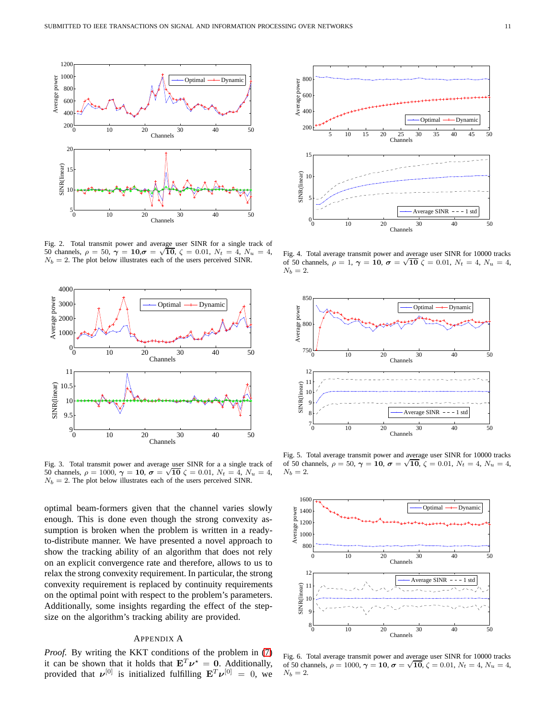

<span id="page-10-1"></span>Fig. 2. Total transmit power and average user SINR for a single track of 50 channels,  $\rho = 50$ ,  $\gamma = 10$ ,  $\sigma = \sqrt{10}$ ,  $\zeta = 0.01$ ,  $N_t = 4$ ,  $N_u = 4$ ,  $N_b = 2$ . The plot below illustrates each of the users perceived SINR.



<span id="page-10-2"></span>Fig. 3. Total transmit power and average user SINR for a a single track of 50 channels,  $\rho = 1000$ ,  $\gamma = 10$ ,  $\sigma = \sqrt{10} \zeta = 0.01$ ,  $N_t = 4$ ,  $N_u = 4$ ,  $N_b = 2$ . The plot below illustrates each of the users perceived SINR.

optimal beam-formers given that the channel varies slowly enough. This is done even though the strong convexity assumption is broken when the problem is written in a readyto-distribute manner. We have presented a novel approach to show the tracking ability of an algorithm that does not rely on an explicit convergence rate and therefore, allows to us to relax the strong convexity requirement. In particular, the strong convexity requirement is replaced by continuity requirements on the optimal point with respect to the problem's parameters. Additionally, some insights regarding the effect of the stepsize on the algorithm's tracking ability are provided.

# <span id="page-10-0"></span>APPENDIX A

*Proof.* By writing the KKT conditions of the problem in [\(7\)](#page-3-2) it can be shown that it holds that  $E^T \nu^* = 0$ . Additionally, provided that  $v^{[0]}$  is initialized fulfilling  ${\bf E}^T v^{[0]} = 0$ , we



<span id="page-10-3"></span>Fig. 4. Total average transmit power and average user SINR for 10000 tracks of 50 channels,  $\rho = 1$ ,  $\gamma = 10$ ,  $\sigma = \sqrt{10} \zeta = 0.01$ ,  $N_t = 4$ ,  $N_u = 4$ ,  $N_b = 2$ .



<span id="page-10-4"></span>Fig. 5. Total average transmit power and average user SINR for 10000 tracks of 50 channels,  $\rho = 50$ ,  $\gamma = 10$ ,  $\sigma = \sqrt{10}$ ,  $\zeta = 0.01$ ,  $N_t = 4$ ,  $N_u = 4$ ,  $N_b = 2$ .



<span id="page-10-5"></span>Fig. 6. Total average transmit power and average user SINR for 10000 tracks of 50 channels,  $\rho = 1000$ ,  $\gamma = 10$ ,  $\sigma = \sqrt{10}$ ,  $\zeta = 0.01$ ,  $N_t = 4$ ,  $N_u = 4$ ,  $N_b = 2$ .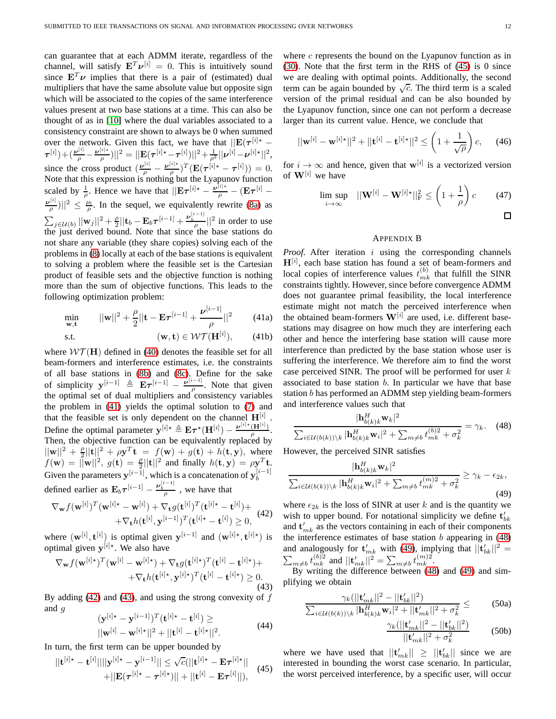can guarantee that at each ADMM iterate, regardless of the channel, will satisfy  $E^T \nu^{[i]} = 0$ . This is intuitively sound since  $\mathbf{E}^T \boldsymbol{\nu}$  implies that there is a pair of (estimated) dual multipliers that have the same absolute value but opposite sign which will be associated to the copies of the same interference values present at two base stations at a time. This can also be thought of as in [\[10\]](#page-12-9) where the dual variables associated to a consistency constraint are shown to always be 0 when summed over the network. Given this fact, we have that  $||\mathbf{E}(\tau^{[i] \star} \bm{\tau}^{[i]})\!+\!(\frac{\bm{\nu}^{[i]}}{\rho}\!-\!\frac{\bm{\nu}^{[i]\star}}{\rho}$  $\frac{|\psi|^{\star}}{\rho})||^2=||\mathbf{E}(\boldsymbol{\tau}^{[i]\star}-\boldsymbol{\tau}^{[i]})||^2\!+\!\frac{1}{\rho^2}||\boldsymbol{\nu}^{[i]} \!-\! \boldsymbol{\nu}^{[i]\star}||^2,$ since the cross product  $\left(\frac{\boldsymbol{\nu}^{[i]}}{\rho} - \frac{\boldsymbol{\nu}^{[i]*}}{\rho}\right)$  $\frac{f^{[i]*}}{\rho})^T(\mathbf{E}(\boldsymbol{\tau}^{[i]*}-\boldsymbol{\tau}^{[i]}))=0.$ Note that this expression is nothing but the Lyapunov function scaled by  $\frac{1}{\rho}$ . Hence we have that  $||\mathbf{E}\tau^{[i] \star} - \frac{\nu^{[i] \star}}{\rho} - (\mathbf{E}\tau^{[i]} - \mathbf{E}\tau^{[i]})$  $\nu^{[i]}$  $\frac{|\mu|}{\rho}$ )||<sup>2</sup>  $\leq \frac{\mu_1}{\rho}$ . In the sequel, we equivalently rewrite [\(8a\)](#page-3-10) as  $\sum_{j\in\mathcal{U}(b)}||\mathbf{w}_j||^2+\frac{\rho}{2}$  $\frac{\rho}{2}||\mathbf{t}_b - \mathbf{E}_b \boldsymbol{\tau}^{[i-1]} + \frac{\nu_b^{[i-1]}}{\rho}||^2$  in order to use the just derived bound. Note that since the base stations do not share any variable (they share copies) solving each of the problems in [\(8\)](#page-3-7) locally at each of the base stations is equivalent to solving a problem where the feasible set is the Cartesian product of feasible sets and the objective function is nothing more than the sum of objective functions. This leads to the following optimization problem:

<span id="page-11-1"></span>
$$
\min_{\mathbf{w}, \mathbf{t}} ||\mathbf{w}||^2 + \frac{\rho}{2} ||\mathbf{t} - \mathbf{E}\boldsymbol{\tau}^{[i-1]} + \frac{\boldsymbol{\nu}^{[i-1]}}{\rho}||^2 \qquad (41a)
$$

$$
\text{s.t.} \qquad \qquad (\mathbf{w}, \mathbf{t}) \in \mathcal{WT}(\mathbf{H}^{[i]}), \qquad \text{(41b)}
$$

where  $W\mathcal{T}(\mathbf{H})$  defined in [\(40\)](#page-8-0) denotes the feasible set for all beam-formers and interference estimates, i.e. the constraints of all base stations in [\(8b\)](#page-3-11) and [\(8c\)](#page-3-9). Define for the sake of simplicity  $\mathbf{y}^{[i-1]} \triangleq \mathbf{E} \boldsymbol{\tau}^{[i-1]} - \frac{\boldsymbol{\nu}^{[i-1]}}{\rho}$  $\frac{\rho}{\rho}$ . Note that given the optimal set of dual multipliers and consistency variables the problem in [\(41\)](#page-11-1) yields the optimal solution to [\(7\)](#page-3-2) and that the feasible set is only dependent on the channel  $\mathbf{H}^{[i]}$  . Define the optimal parameter  $\mathbf{y}^{[i] \star} \triangleq \mathbf{E} \boldsymbol{\tau}^{\star}(\mathbf{H}^{[i]}) - \frac{\boldsymbol{\nu}^{[i] \star}(\mathbf{H}^{[i]})}{\rho}$  $\frac{(\mathbf{H}^{(1)})}{\rho}$ . Then, the objective function can be equivalently replaced by  $||\mathbf{w}||^2 + \frac{\rho}{2}||\mathbf{t}||^2 + \rho \mathbf{y}^T \mathbf{t} = f(\mathbf{w}) + g(\mathbf{t}) + h(\mathbf{t}, \mathbf{y}), \text{ where}$  $f(\mathbf{w}) = ||\mathbf{w}||^2$ ,  $g(\mathbf{t}) = \frac{\rho}{2}||\mathbf{t}||^2$  and finally  $h(\mathbf{t}, \mathbf{y}) = \rho \mathbf{y}^T \mathbf{t}$ . Given the parameters  $\mathbf{y}_{i}^{[i-1]}$ , which is a concatenation of  $\mathbf{y}_{b}^{[i-1]}$ defined earlier as  $\mathbf{E}_b \tau^{[i-1]} - \frac{\nu_b^{[i-1]}}{\rho}$ , we have that

<span id="page-11-2"></span>
$$
\nabla_{\mathbf{w}} f(\mathbf{w}^{[i]})^T (\mathbf{w}^{[i] \star} - \mathbf{w}^{[i]}) + \nabla_{\mathbf{t}} g(\mathbf{t}^{[i]})^T (\mathbf{t}^{[i] \star} - \mathbf{t}^{[i]}) + \\ + \nabla_{\mathbf{t}} h(\mathbf{t}^{[i]}, \mathbf{y}^{[i-1]})^T (\mathbf{t}^{[i] \star} - \mathbf{t}^{[i]}) \ge 0, \tag{42}
$$

where  $(\mathbf{w}^{[i]}, \mathbf{t}^{[i]})$  is optimal given  $\mathbf{y}^{[i-1]}$  and  $(\mathbf{w}^{[i] \star}, \mathbf{t}^{[i] \star})$  is optimal given  $y^{[i]*}$ . We also have

<span id="page-11-3"></span>
$$
\nabla_{\mathbf{w}} f(\mathbf{w}^{[i] \star})^T (\mathbf{w}^{[i]} - \mathbf{w}^{[i] \star}) + \nabla_{\mathbf{t}} g(\mathbf{t}^{[i] \star})^T (\mathbf{t}^{[i]} - \mathbf{t}^{[i] \star}) + + \nabla_{\mathbf{t}} h(\mathbf{t}^{[i] \star}, \mathbf{y}^{[i] \star})^T (\mathbf{t}^{[i]} - \mathbf{t}^{[i] \star}) \geq 0.
$$
\n(43)

By adding [\(42\)](#page-11-2) and [\(43\)](#page-11-3), and using the strong convexity of  $f$ and g

$$
(\mathbf{y}^{[i]*} - \mathbf{y}^{[i-1]})^T (\mathbf{t}^{[i]*} - \mathbf{t}^{[i]}) \ge
$$
  
 
$$
||\mathbf{w}^{[i]} - \mathbf{w}^{[i]*}||^2 + ||\mathbf{t}^{[i]} - \mathbf{t}^{[i]*}||^2.
$$
 (44)

In turn, the first term can be upper bounded by

<span id="page-11-4"></span>
$$
||\mathbf{t}^{[i]\star} - \mathbf{t}^{[i]}|| ||\mathbf{y}^{[i]\star} - \mathbf{y}^{[i-1]}|| \leq \sqrt{c} (||\mathbf{t}^{[i]\star} - \mathbf{E}\boldsymbol{\tau}^{[i]\star}|| + ||\mathbf{E}(\boldsymbol{\tau}^{[i]\star} - \boldsymbol{\tau}^{[i]\star}|| + ||\mathbf{t}^{[i]} - \mathbf{E}\boldsymbol{\tau}^{[i]}||), \qquad (45)
$$

where  $c$  represents the bound on the Lyapunov function as in [\(30\)](#page-6-4). Note that the first term in the RHS of [\(45\)](#page-11-4) is 0 since we are dealing with optimal points. Additionally, the second term can be again bounded by  $\sqrt{c}$ . The third term is a scaled version of the primal residual and can be also bounded by the Lyapunov function, since one can not perform a decrease larger than its current value. Hence, we conclude that

$$
||\mathbf{w}^{[i]} - \mathbf{w}^{[i] \star}||^2 + ||\mathbf{t}^{[i]} - \mathbf{t}^{[i] \star}||^2 \le \left(1 + \frac{1}{\sqrt{\rho}}\right)c,\qquad(46)
$$

for  $i \to \infty$  and hence, given that  $\mathbf{w}^{[i]}$  is a vectorized version of  $W^{[i]}$  we have

$$
\limsup_{i \to \infty} \quad ||\mathbf{W}^{[i]} - \mathbf{W}^{[i] \star}||_{\mathrm{F}}^2 \le \left(1 + \frac{1}{\rho}\right)c \qquad (47)
$$

#### <span id="page-11-0"></span>APPENDIX B

*Proof.* After iteration *i* using the corresponding channels  $H^{[i]}$ , each base station has found a set of beam-formers and local copies of interference values  $t_{mk}^{(b)}$  that fulfill the SINR constraints tightly. However, since before convergence ADMM does not guarantee primal feasibility, the local interference estimate might not match the perceived interference when the obtained beam-formers  $W^{[i]}$  are used, i.e. different basestations may disagree on how much they are interfering each other and hence the interfering base station will cause more interference than predicted by the base station whose user is suffering the interference. We therefore aim to find the worst case perceived SINR. The proof will be performed for user  $k$ associated to base station  $b$ . In particular we have that base station b has performed an ADMM step yielding beam-formers and interference values such that

<span id="page-11-5"></span>
$$
\frac{|\mathbf{h}_{b(k)k}^{H}\mathbf{w}_{k}|^{2}}{\sum_{i\in\mathcal{U}(b(k))\backslash k}|\mathbf{h}_{b(k)k}^{H}\mathbf{w}_{i}|^{2} + \sum_{m\neq b}t_{mk}^{(b)2} + \sigma_{k}^{2}} = \gamma_{k}.
$$
 (48)

However, the perceived SINR satisfies

<span id="page-11-6"></span>
$$
\frac{|\mathbf{h}_{b(k)k}^H \mathbf{w}_k|^2}{\sum_{i \in \mathcal{U}(b(k)) \setminus k} |\mathbf{h}_{b(k)k}^H \mathbf{w}_i|^2 + \sum_{m \neq b} t_{mk}^{(m)2} + \sigma_k^2} \ge \gamma_k - \epsilon_{2k},\tag{49}
$$

where  $\epsilon_{2k}$  is the loss of SINR at user k and is the quantity we wish to upper bound. For notational simplicity we define  $t'_{bk}$ and  $\mathbf{t}'_{mk}$  as the vectors containing in each of their components the interference estimates of base station  $b$  appearing in  $(48)$ and analogously for  $\mathbf{t}'_{mk}$  with [\(49\)](#page-11-6), implying that  $||\mathbf{t}'_{bk}||^2 = \sum_{m \neq b} t^{(b)2}_{mk}$  and  $||\mathbf{t}'_{mk}||^2 = \sum_{m \neq b} t^{(m)2}_{mk}$ 

By writing the difference between [\(48\)](#page-11-5) and [\(49\)](#page-11-6) and simplifying we obtain

$$
\frac{\gamma_k(||\mathbf{t}_{mk}'||^2 - ||\mathbf{t}_{bk}'||^2)}{\sum_{i \in \mathcal{U}(b(k)) \setminus k} |\mathbf{h}_{b(k)k}^H \mathbf{w}_i|^2 + ||\mathbf{t}_{mk}'||^2 + \sigma_k^2} \leq (50a)
$$

$$
\frac{\gamma_k(||\mathbf{t}_{mk}'||^2 - ||\mathbf{t}_{bk}'||^2)}{||\mathbf{t}_{mk}'||^2 + \sigma_k^2} \tag{50b}
$$

where we have used that  $||\mathbf{t}'_{mk}|| \geq ||\mathbf{t}'_{bk}||$  since we are interested in bounding the worst case scenario. In particular, the worst perceived interference, by a specific user, will occur